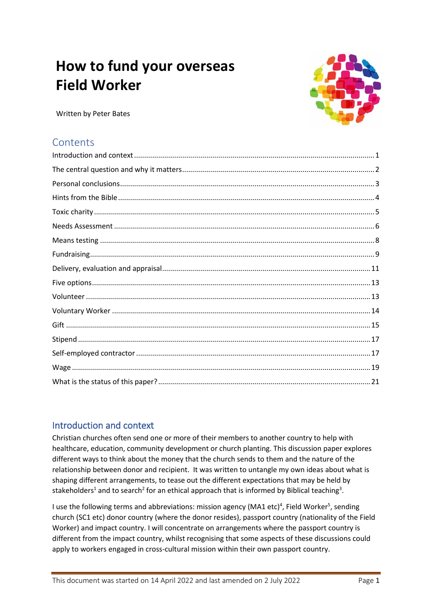# **How to fund your overseas Field Worker**



Written by Peter Bates

# **Contents**

# <span id="page-0-0"></span>Introduction and context

Christian churches often send one or more of their members to another country to help with healthcare, education, community development or church planting. This discussion paper explores different ways to think about the money that the church sends to them and the nature of the relationship between donor and recipient. It was written to untangle my own ideas about what is shaping different arrangements, to tease out the different expectations that may be held by stakeholders<sup>1</sup> and to search<sup>2</sup> for an ethical approach that is informed by Biblical teaching<sup>3</sup>.

I use the following terms and abbreviations: mission agency (MA1 etc)<sup>4</sup>, Field Worker<sup>5</sup>, sending church (SC1 etc) donor country (where the donor resides), passport country (nationality of the Field Worker) and impact country. I will concentrate on arrangements where the passport country is different from the impact country, whilst recognising that some aspects of these discussions could apply to workers engaged in cross-cultural mission within their own passport country.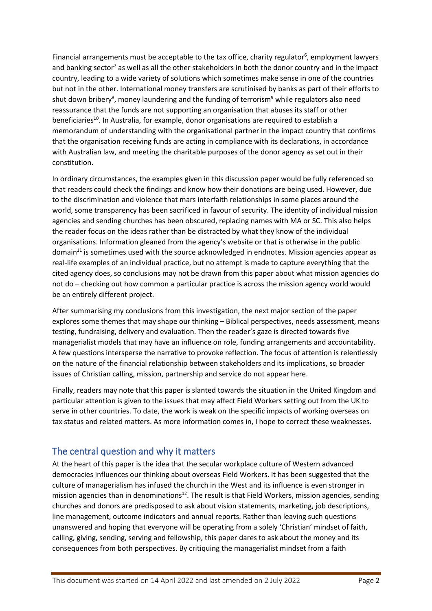Financial arrangements must be acceptable to the tax office, charity regulator<sup>6</sup>, employment lawyers and banking sector<sup>7</sup> as well as all the other stakeholders in both the donor country and in the impact country, leading to a wide variety of solutions which sometimes make sense in one of the countries but not in the other. International money transfers are scrutinised by banks as part of their efforts to shut down bribery<sup>8</sup>, money laundering and the funding of terrorism<sup>9</sup> while regulators also need reassurance that the funds are not supporting an organisation that abuses its staff or other beneficiaries<sup>10</sup>. In Australia, for example, donor organisations are required to establish a memorandum of understanding with the organisational partner in the impact country that confirms that the organisation receiving funds are acting in compliance with its declarations, in accordance with Australian law, and meeting the charitable purposes of the donor agency as set out in their constitution.

In ordinary circumstances, the examples given in this discussion paper would be fully referenced so that readers could check the findings and know how their donations are being used. However, due to the discrimination and violence that mars interfaith relationships in some places around the world, some transparency has been sacrificed in favour of security. The identity of individual mission agencies and sending churches has been obscured, replacing names with MA or SC. This also helps the reader focus on the ideas rather than be distracted by what they know of the individual organisations. Information gleaned from the agency's website or that is otherwise in the public domain<sup>11</sup> is sometimes used with the source acknowledged in endnotes. Mission agencies appear as real-life examples of an individual practice, but no attempt is made to capture everything that the cited agency does, so conclusions may not be drawn from this paper about what mission agencies do not do – checking out how common a particular practice is across the mission agency world would be an entirely different project.

After summarising my conclusions from this investigation, the next major section of the paper explores some themes that may shape our thinking – Biblical perspectives, needs assessment, means testing, fundraising, delivery and evaluation. Then the reader's gaze is directed towards five managerialist models that may have an influence on role, funding arrangements and accountability. A few questions intersperse the narrative to provoke reflection. The focus of attention is relentlessly on the nature of the financial relationship between stakeholders and its implications, so broader issues of Christian calling, mission, partnership and service do not appear here.

Finally, readers may note that this paper is slanted towards the situation in the United Kingdom and particular attention is given to the issues that may affect Field Workers setting out from the UK to serve in other countries. To date, the work is weak on the specific impacts of working overseas on tax status and related matters. As more information comes in, I hope to correct these weaknesses.

# <span id="page-1-0"></span>The central question and why it matters

At the heart of this paper is the idea that the secular workplace culture of Western advanced democracies influences our thinking about overseas Field Workers. It has been suggested that the culture of managerialism has infused the church in the West and its influence is even stronger in mission agencies than in denominations<sup>12</sup>. The result is that Field Workers, mission agencies, sending churches and donors are predisposed to ask about vision statements, marketing, job descriptions, line management, outcome indicators and annual reports. Rather than leaving such questions unanswered and hoping that everyone will be operating from a solely 'Christian' mindset of faith, calling, giving, sending, serving and fellowship, this paper dares to ask about the money and its consequences from both perspectives. By critiquing the managerialist mindset from a faith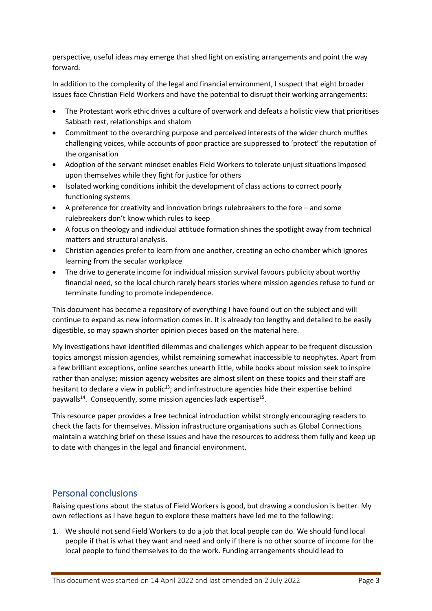perspective, useful ideas may emerge that shed light on existing arrangements and point the way forward.

In addition to the complexity of the legal and financial environment, I suspect that eight broader issues face Christian Field Workers and have the potential to disrupt their working arrangements:

- The Protestant work ethic drives a culture of overwork and defeats a holistic view that prioritises Sabbath rest, relationships and shalom
- Commitment to the overarching purpose and perceived interests of the wider church muffles challenging voices, while accounts of poor practice are suppressed to 'protect' the reputation of the organisation
- Adoption of the servant mindset enables Field Workers to tolerate unjust situations imposed upon themselves while they fight for justice for others
- Isolated working conditions inhibit the development of class actions to correct poorly functioning systems
- A preference for creativity and innovation brings rulebreakers to the fore and some rulebreakers don't know which rules to keep
- A focus on theology and individual attitude formation shines the spotlight away from technical matters and structural analysis.
- Christian agencies prefer to learn from one another, creating an echo chamber which ignores learning from the secular workplace
- The drive to generate income for individual mission survival favours publicity about worthy financial need, so the local church rarely hears stories where mission agencies refuse to fund or terminate funding to promote independence.

This document has become a repository of everything I have found out on the subject and will continue to expand as new information comes in. It is already too lengthy and detailed to be easily digestible, so may spawn shorter opinion pieces based on the material here.

My investigations have identified dilemmas and challenges which appear to be frequent discussion topics amongst mission agencies, whilst remaining somewhat inaccessible to neophytes. Apart from a few brilliant exceptions, online searches unearth little, while books about mission seek to inspire rather than analyse; mission agency websites are almost silent on these topics and their staff are hesitant to declare a view in public<sup>13</sup>; and infrastructure agencies hide their expertise behind paywalls<sup>14</sup>. Consequently, some mission agencies lack expertise<sup>15</sup>.

This resource paper provides a free technical introduction whilst strongly encouraging readers to check the facts for themselves. Mission infrastructure organisations such as Global Connections maintain a watching brief on these issues and have the resources to address them fully and keep up to date with changes in the legal and financial environment.

# <span id="page-2-0"></span>Personal conclusions

Raising questions about the status of Field Workers is good, but drawing a conclusion is better. My own reflections as I have begun to explore these matters have led me to the following:

1. We should not send Field Workers to do a job that local people can do. We should fund local people if that is what they want and need and only if there is no other source of income for the local people to fund themselves to do the work. Funding arrangements should lead to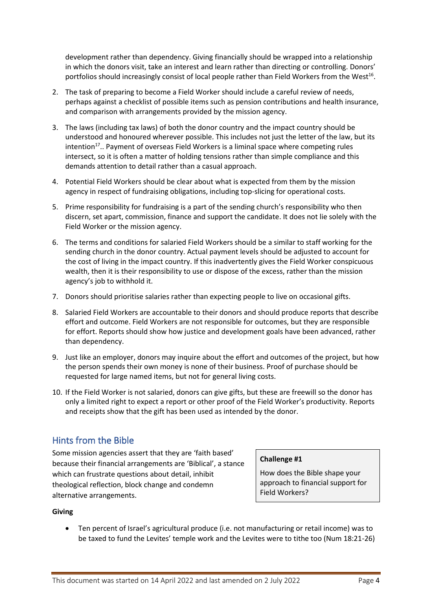development rather than dependency. Giving financially should be wrapped into a relationship in which the donors visit, take an interest and learn rather than directing or controlling. Donors' portfolios should increasingly consist of local people rather than Field Workers from the West<sup>16</sup>.

- 2. The task of preparing to become a Field Worker should include a careful review of needs, perhaps against a checklist of possible items such as pension contributions and health insurance, and comparison with arrangements provided by the mission agency.
- 3. The laws (including tax laws) of both the donor country and the impact country should be understood and honoured wherever possible. This includes not just the letter of the law, but its intention<sup>17</sup>.. Payment of overseas Field Workers is a liminal space where competing rules intersect, so it is often a matter of holding tensions rather than simple compliance and this demands attention to detail rather than a casual approach.
- 4. Potential Field Workers should be clear about what is expected from them by the mission agency in respect of fundraising obligations, including top-slicing for operational costs.
- 5. Prime responsibility for fundraising is a part of the sending church's responsibility who then discern, set apart, commission, finance and support the candidate. It does not lie solely with the Field Worker or the mission agency.
- 6. The terms and conditions for salaried Field Workers should be a similar to staff working for the sending church in the donor country. Actual payment levels should be adjusted to account for the cost of living in the impact country. If this inadvertently gives the Field Worker conspicuous wealth, then it is their responsibility to use or dispose of the excess, rather than the mission agency's job to withhold it.
- 7. Donors should prioritise salaries rather than expecting people to live on occasional gifts.
- 8. Salaried Field Workers are accountable to their donors and should produce reports that describe effort and outcome. Field Workers are not responsible for outcomes, but they are responsible for effort. Reports should show how justice and development goals have been advanced, rather than dependency.
- 9. Just like an employer, donors may inquire about the effort and outcomes of the project, but how the person spends their own money is none of their business. Proof of purchase should be requested for large named items, but not for general living costs.
- 10. If the Field Worker is not salaried, donors can give gifts, but these are freewill so the donor has only a limited right to expect a report or other proof of the Field Worker's productivity. Reports and receipts show that the gift has been used as intended by the donor.

# <span id="page-3-0"></span>Hints from the Bible

Some mission agencies assert that they are 'faith based' because their financial arrangements are 'Biblical', a stance which can frustrate questions about detail, inhibit theological reflection, block change and condemn alternative arrangements.

#### **Challenge #1**

How does the Bible shape your approach to financial support for Field Workers?

### **Giving**

• Ten percent of Israel's agricultural produce (i.e. not manufacturing or retail income) was to be taxed to fund the Levites' temple work and the Levites were to tithe too (Num 18:21-26)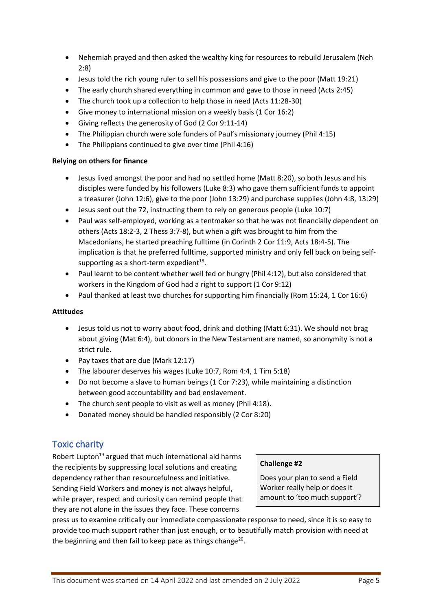- Nehemiah prayed and then asked the wealthy king for resources to rebuild Jerusalem (Neh 2:8)
- Jesus told the rich young ruler to sell his possessions and give to the poor (Matt 19:21)
- The early church shared everything in common and gave to those in need (Acts 2:45)
- The church took up a collection to help those in need (Acts 11:28-30)
- Give money to international mission on a weekly basis (1 Cor 16:2)
- Giving reflects the generosity of God (2 Cor 9:11-14)
- The Philippian church were sole funders of Paul's missionary journey (Phil 4:15)
- The Philippians continued to give over time (Phil 4:16)

#### **Relying on others for finance**

- Jesus lived amongst the poor and had no settled home (Matt 8:20), so both Jesus and his disciples were funded by his followers (Luke 8:3) who gave them sufficient funds to appoint a treasurer (John 12:6), give to the poor (John 13:29) and purchase supplies (John 4:8, 13:29)
- Jesus sent out the 72, instructing them to rely on generous people (Luke 10:7)
- Paul was self-employed, working as a tentmaker so that he was not financially dependent on others (Acts 18:2-3, 2 Thess 3:7-8), but when a gift was brought to him from the Macedonians, he started preaching fulltime (in Corinth 2 Cor 11:9, Acts 18:4-5). The implication is that he preferred fulltime, supported ministry and only fell back on being selfsupporting as a short-term expedient $^{18}$ .
- Paul learnt to be content whether well fed or hungry (Phil 4:12), but also considered that workers in the Kingdom of God had a right to support (1 Cor 9:12)
- Paul thanked at least two churches for supporting him financially (Rom 15:24, 1 Cor 16:6)

### **Attitudes**

- Jesus told us not to worry about food, drink and clothing (Matt 6:31). We should not brag about giving (Mat 6:4), but donors in the New Testament are named, so anonymity is not a strict rule.
- Pay taxes that are due (Mark 12:17)
- The labourer deserves his wages (Luke 10:7, Rom 4:4, 1 Tim 5:18)
- Do not become a slave to human beings (1 Cor 7:23), while maintaining a distinction between good accountability and bad enslavement.
- The church sent people to visit as well as money (Phil 4:18).
- Donated money should be handled responsibly (2 Cor 8:20)

# <span id="page-4-0"></span>Toxic charity

Robert Lupton<sup>19</sup> argued that much international aid harms the recipients by suppressing local solutions and creating dependency rather than resourcefulness and initiative. Sending Field Workers and money is not always helpful, while prayer, respect and curiosity can remind people that they are not alone in the issues they face. These concerns

### **Challenge #2**

Does your plan to send a Field Worker really help or does it amount to 'too much support'?

press us to examine critically our immediate compassionate response to need, since it is so easy to provide too much support rather than just enough, or to beautifully match provision with need at the beginning and then fail to keep pace as things change<sup>20</sup>.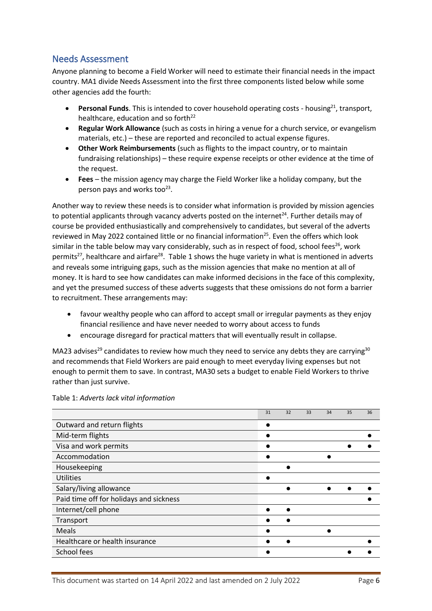### <span id="page-5-0"></span>Needs Assessment

Anyone planning to become a Field Worker will need to estimate their financial needs in the impact country. MA1 divide Needs Assessment into the first three components listed below while some other agencies add the fourth:

- **Personal Funds**. This is intended to cover household operating costs housing<sup>21</sup>, transport, healthcare, education and so forth<sup>22</sup>
- **Regular Work Allowance** (such as costs in hiring a venue for a church service, or evangelism materials, etc.) – these are reported and reconciled to actual expense figures.
- **Other Work Reimbursements** (such as flights to the impact country, or to maintain fundraising relationships) – these require expense receipts or other evidence at the time of the request.
- **Fees**  the mission agency may charge the Field Worker like a holiday company, but the person pays and works too<sup>23</sup>.

Another way to review these needs is to consider what information is provided by mission agencies to potential applicants through vacancy adverts posted on the internet<sup>24</sup>. Further details may of course be provided enthusiastically and comprehensively to candidates, but several of the adverts reviewed in May 2022 contained little or no financial information<sup>25</sup>. Even the offers which look similar in the table below may vary considerably, such as in respect of food, school fees<sup>26</sup>, work permits<sup>27</sup>, healthcare and airfare<sup>28</sup>. Table 1 shows the huge variety in what is mentioned in adverts and reveals some intriguing gaps, such as the mission agencies that make no mention at all of money. It is hard to see how candidates can make informed decisions in the face of this complexity, and yet the presumed success of these adverts suggests that these omissions do not form a barrier to recruitment. These arrangements may:

- favour wealthy people who can afford to accept small or irregular payments as they enjoy financial resilience and have never needed to worry about access to funds
- encourage disregard for practical matters that will eventually result in collapse.

MA23 advises<sup>29</sup> candidates to review how much they need to service any debts they are carrying<sup>30</sup> and recommends that Field Workers are paid enough to meet everyday living expenses but not enough to permit them to save. In contrast, MA30 sets a budget to enable Field Workers to thrive rather than just survive.

|                                         | 31 | 32 | 33 | 34 | 35 | 36 |
|-----------------------------------------|----|----|----|----|----|----|
| Outward and return flights              |    |    |    |    |    |    |
| Mid-term flights                        |    |    |    |    |    |    |
| Visa and work permits                   |    |    |    |    |    |    |
| Accommodation                           |    |    |    |    |    |    |
| Housekeeping                            |    |    |    |    |    |    |
| <b>Utilities</b>                        |    |    |    |    |    |    |
| Salary/living allowance                 |    |    |    |    |    |    |
| Paid time off for holidays and sickness |    |    |    |    |    |    |
| Internet/cell phone                     |    |    |    |    |    |    |
| Transport                               |    |    |    |    |    |    |
| Meals                                   |    |    |    |    |    |    |
| Healthcare or health insurance          |    |    |    |    |    |    |
| School fees                             |    |    |    |    |    |    |

Table 1: *Adverts lack vital information*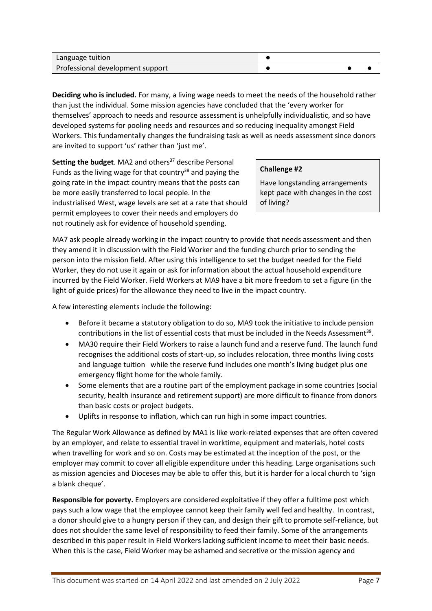| Language tuition                 |  |  |
|----------------------------------|--|--|
| Professional development support |  |  |

**Deciding who is included.** For many, a living wage needs to meet the needs of the household rather than just the individual. Some mission agencies have concluded that the 'every worker for themselves' approach to needs and resource assessment is unhelpfully individualistic, and so have developed systems for pooling needs and resources and so reducing inequality amongst Field Workers. This fundamentally changes the fundraising task as well as needs assessment since donors are invited to support 'us' rather than 'just me'.

**Setting the budget.** MA2 and others<sup>37</sup> describe Personal Funds as the living wage for that country<sup>38</sup> and paying the going rate in the impact country means that the posts can be more easily transferred to local people. In the industrialised West, wage levels are set at a rate that should permit employees to cover their needs and employers do not routinely ask for evidence of household spending.

#### **Challenge #2**

Have longstanding arrangements kept pace with changes in the cost of living?

MA7 ask people already working in the impact country to provide that needs assessment and then they amend it in discussion with the Field Worker and the funding church prior to sending the person into the mission field. After using this intelligence to set the budget needed for the Field Worker, they do not use it again or ask for information about the actual household expenditure incurred by the Field Worker. Field Workers at MA9 have a bit more freedom to set a figure (in the light of guide prices) for the allowance they need to live in the impact country.

A few interesting elements include the following:

- Before it became a statutory obligation to do so, MA9 took the initiative to include pension contributions in the list of essential costs that must be included in the Needs Assessment<sup>39</sup>.
- MA30 require their Field Workers to raise a launch fund and a reserve fund. The launch fund recognises the additional costs of start-up, so includes relocation, three months living costs and language tuition while the reserve fund includes one month's living budget plus one emergency flight home for the whole family.
- Some elements that are a routine part of the employment package in some countries (social security, health insurance and retirement support) are more difficult to finance from donors than basic costs or project budgets.
- Uplifts in response to inflation, which can run high in some impact countries.

The Regular Work Allowance as defined by MA1 is like work-related expenses that are often covered by an employer, and relate to essential travel in worktime, equipment and materials, hotel costs when travelling for work and so on. Costs may be estimated at the inception of the post, or the employer may commit to cover all eligible expenditure under this heading. Large organisations such as mission agencies and Dioceses may be able to offer this, but it is harder for a local church to 'sign a blank cheque'.

**Responsible for poverty.** Employers are considered exploitative if they offer a fulltime post which pays such a low wage that the employee cannot keep their family well fed and healthy. In contrast, a donor should give to a hungry person if they can, and design their gift to promote self-reliance, but does not shoulder the same level of responsibility to feed their family. Some of the arrangements described in this paper result in Field Workers lacking sufficient income to meet their basic needs. When this is the case, Field Worker may be ashamed and secretive or the mission agency and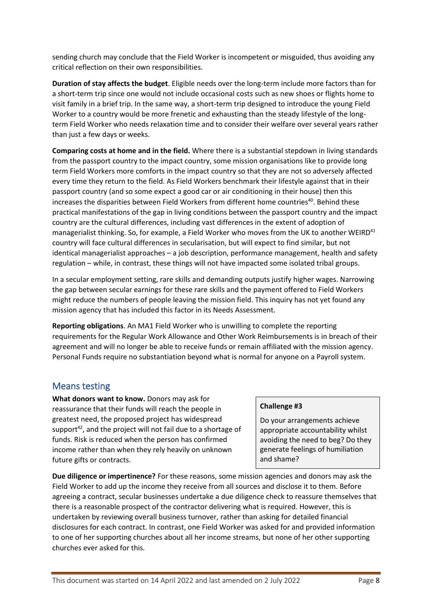sending church may conclude that the Field Worker is incompetent or misguided, thus avoiding any critical reflection on their own responsibilities.

**Duration of stay affects the budget**. Eligible needs over the long-term include more factors than for a short-term trip since one would not include occasional costs such as new shoes or flights home to visit family in a brief trip. In the same way, a short-term trip designed to introduce the young Field Worker to a country would be more frenetic and exhausting than the steady lifestyle of the longterm Field Worker who needs relaxation time and to consider their welfare over several years rather than just a few days or weeks.

**Comparing costs at home and in the field.** Where there is a substantial stepdown in living standards from the passport country to the impact country, some mission organisations like to provide long term Field Workers more comforts in the impact country so that they are not so adversely affected every time they return to the field. As Field Workers benchmark their lifestyle against that in their passport country (and so some expect a good car or air conditioning in their house) then this increases the disparities between Field Workers from different home countries<sup>40</sup>. Behind these practical manifestations of the gap in living conditions between the passport country and the impact country are the cultural differences, including vast differences in the extent of adoption of managerialist thinking. So, for example, a Field Worker who moves from the UK to another WEIRD $41$ country will face cultural differences in secularisation, but will expect to find similar, but not identical managerialist approaches – a job description, performance management, health and safety regulation – while, in contrast, these things will not have impacted some isolated tribal groups.

In a secular employment setting, rare skills and demanding outputs justify higher wages. Narrowing the gap between secular earnings for these rare skills and the payment offered to Field Workers might reduce the numbers of people leaving the mission field. This inquiry has not yet found any mission agency that has included this factor in its Needs Assessment.

**Reporting obligations**. An MA1 Field Worker who is unwilling to complete the reporting requirements for the Regular Work Allowance and Other Work Reimbursements is in breach of their agreement and will no longer be able to receive funds or remain affiliated with the mission agency. Personal Funds require no substantiation beyond what is normal for anyone on a Payroll system.

### <span id="page-7-0"></span>Means testing

**What donors want to know.** Donors may ask for reassurance that their funds will reach the people in greatest need, the proposed project has widespread support $42$ , and the project will not fail due to a shortage of funds. Risk is reduced when the person has confirmed income rather than when they rely heavily on unknown future gifts or contracts.

### **Challenge #3**

Do your arrangements achieve appropriate accountability whilst avoiding the need to beg? Do they generate feelings of humiliation and shame?

**Due diligence or impertinence?** For these reasons, some mission agencies and donors may ask the Field Worker to add up the income they receive from all sources and disclose it to them. Before agreeing a contract, secular businesses undertake a due diligence check to reassure themselves that there is a reasonable prospect of the contractor delivering what is required. However, this is undertaken by reviewing overall business turnover, rather than asking for detailed financial disclosures for each contract. In contrast, one Field Worker was asked for and provided information to one of her supporting churches about all her income streams, but none of her other supporting churches ever asked for this.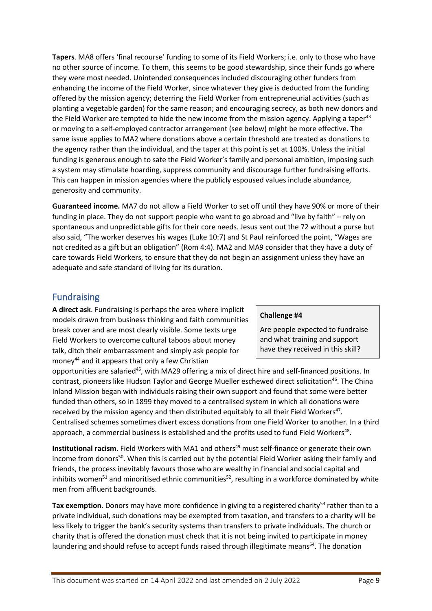**Tapers**. MA8 offers 'final recourse' funding to some of its Field Workers; i.e. only to those who have no other source of income. To them, this seems to be good stewardship, since their funds go where they were most needed. Unintended consequences included discouraging other funders from enhancing the income of the Field Worker, since whatever they give is deducted from the funding offered by the mission agency; deterring the Field Worker from entrepreneurial activities (such as planting a vegetable garden) for the same reason; and encouraging secrecy, as both new donors and the Field Worker are tempted to hide the new income from the mission agency. Applying a taper<sup>43</sup> or moving to a self-employed contractor arrangement (see below) might be more effective. The same issue applies to MA2 where donations above a certain threshold are treated as donations to the agency rather than the individual, and the taper at this point is set at 100%. Unless the initial funding is generous enough to sate the Field Worker's family and personal ambition, imposing such a system may stimulate hoarding, suppress community and discourage further fundraising efforts. This can happen in mission agencies where the publicly espoused values include abundance, generosity and community.

**Guaranteed income.** MA7 do not allow a Field Worker to set off until they have 90% or more of their funding in place. They do not support people who want to go abroad and "live by faith" – rely on spontaneous and unpredictable gifts for their core needs. Jesus sent out the 72 without a purse but also said, "The worker deserves his wages (Luke 10:7) and St Paul reinforced the point, "Wages are not credited as a gift but an obligation" (Rom 4:4). MA2 and MA9 consider that they have a duty of care towards Field Workers, to ensure that they do not begin an assignment unless they have an adequate and safe standard of living for its duration.

### <span id="page-8-0"></span>Fundraising

**A direct ask**. Fundraising is perhaps the area where implicit models drawn from business thinking and faith communities break cover and are most clearly visible. Some texts urge Field Workers to overcome cultural taboos about money talk, ditch their embarrassment and simply ask people for money<sup>44</sup> and it appears that only a few Christian

#### **Challenge #4**

Are people expected to fundraise and what training and support have they received in this skill?

opportunities are salaried<sup>45</sup>, with MA29 offering a mix of direct hire and self-financed positions. In contrast, pioneers like Hudson Taylor and George Mueller eschewed direct solicitation<sup>46</sup>. The China Inland Mission began with individuals raising their own support and found that some were better funded than others, so in 1899 they moved to a centralised system in which all donations were received by the mission agency and then distributed equitably to all their Field Workers<sup>47</sup>. Centralised schemes sometimes divert excess donations from one Field Worker to another. In a third approach, a commercial business is established and the profits used to fund Field Workers<sup>48</sup>.

**Institutional racism**. Field Workers with MA1 and others<sup>49</sup> must self-finance or generate their own income from donors<sup>50</sup>. When this is carried out by the potential Field Worker asking their family and friends, the process inevitably favours those who are wealthy in financial and social capital and inhibits women<sup>51</sup> and minoritised ethnic communities<sup>52</sup>, resulting in a workforce dominated by white men from affluent backgrounds.

Tax exemption. Donors may have more confidence in giving to a registered charity<sup>53</sup> rather than to a private individual, such donations may be exempted from taxation, and transfers to a charity will be less likely to trigger the bank's security systems than transfers to private individuals. The church or charity that is offered the donation must check that it is not being invited to participate in money laundering and should refuse to accept funds raised through illegitimate means<sup>54</sup>. The donation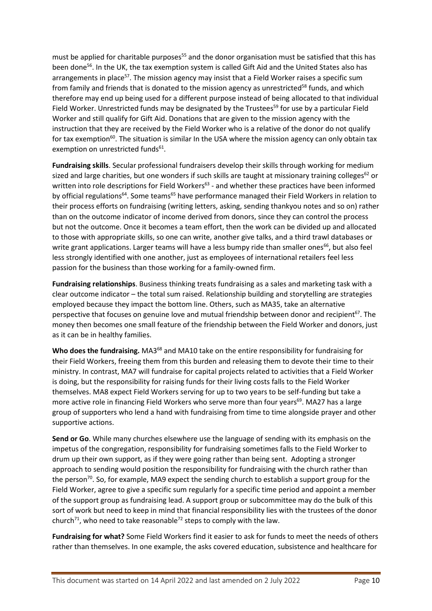must be applied for charitable purposes<sup>55</sup> and the donor organisation must be satisfied that this has been done<sup>56</sup>. In the UK, the tax exemption system is called Gift Aid and the United States also has arrangements in place<sup>57</sup>. The mission agency may insist that a Field Worker raises a specific sum from family and friends that is donated to the mission agency as unrestricted<sup>58</sup> funds, and which therefore may end up being used for a different purpose instead of being allocated to that individual Field Worker. Unrestricted funds may be designated by the Trustees<sup>59</sup> for use by a particular Field Worker and still qualify for Gift Aid. Donations that are given to the mission agency with the instruction that they are received by the Field Worker who is a relative of the donor do not qualify for tax exemption<sup>60</sup>. The situation is similar In the USA where the mission agency can only obtain tax exemption on unrestricted funds<sup>61</sup>.

**Fundraising skills**. Secular professional fundraisers develop their skills through working for medium sized and large charities, but one wonders if such skills are taught at missionary training colleges<sup>62</sup> or written into role descriptions for Field Workers<sup>63</sup> - and whether these practices have been informed by official regulations<sup>64</sup>. Some teams<sup>65</sup> have performance managed their Field Workers in relation to their process efforts on fundraising (writing letters, asking, sending thankyou notes and so on) rather than on the outcome indicator of income derived from donors, since they can control the process but not the outcome. Once it becomes a team effort, then the work can be divided up and allocated to those with appropriate skills, so one can write, another give talks, and a third trawl databases or write grant applications. Larger teams will have a less bumpy ride than smaller ones<sup>66</sup>, but also feel less strongly identified with one another, just as employees of international retailers feel less passion for the business than those working for a family-owned firm.

**Fundraising relationships**. Business thinking treats fundraising as a sales and marketing task with a clear outcome indicator – the total sum raised. Relationship building and storytelling are strategies employed because they impact the bottom line. Others, such as MA35, take an alternative perspective that focuses on genuine love and mutual friendship between donor and recipient<sup>67</sup>. The money then becomes one small feature of the friendship between the Field Worker and donors, just as it can be in healthy families.

Who does the fundraising. MA3<sup>68</sup> and MA10 take on the entire responsibility for fundraising for their Field Workers, freeing them from this burden and releasing them to devote their time to their ministry. In contrast, MA7 will fundraise for capital projects related to activities that a Field Worker is doing, but the responsibility for raising funds for their living costs falls to the Field Worker themselves. MA8 expect Field Workers serving for up to two years to be self-funding but take a more active role in financing Field Workers who serve more than four years<sup>69</sup>. MA27 has a large group of supporters who lend a hand with fundraising from time to time alongside prayer and other supportive actions.

**Send or Go**. While many churches elsewhere use the language of sending with its emphasis on the impetus of the congregation, responsibility for fundraising sometimes falls to the Field Worker to drum up their own support, as if they were going rather than being sent. Adopting a stronger approach to sending would position the responsibility for fundraising with the church rather than the person<sup>70</sup>. So, for example, MA9 expect the sending church to establish a support group for the Field Worker, agree to give a specific sum regularly for a specific time period and appoint a member of the support group as fundraising lead. A support group or subcommittee may do the bulk of this sort of work but need to keep in mind that financial responsibility lies with the trustees of the donor church<sup>71</sup>, who need to take reasonable<sup>72</sup> steps to comply with the law.

**Fundraising for what?** Some Field Workers find it easier to ask for funds to meet the needs of others rather than themselves. In one example, the asks covered education, subsistence and healthcare for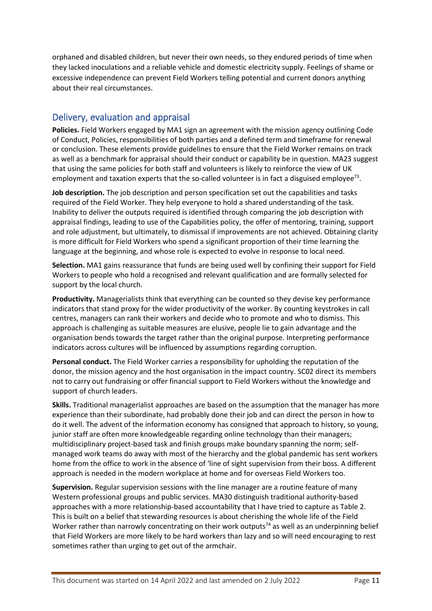orphaned and disabled children, but never their own needs, so they endured periods of time when they lacked inoculations and a reliable vehicle and domestic electricity supply. Feelings of shame or excessive independence can prevent Field Workers telling potential and current donors anything about their real circumstances.

### <span id="page-10-0"></span>Delivery, evaluation and appraisal

**Policies.** Field Workers engaged by MA1 sign an agreement with the mission agency outlining Code of Conduct, Policies, responsibilities of both parties and a defined term and timeframe for renewal or conclusion. These elements provide guidelines to ensure that the Field Worker remains on track as well as a benchmark for appraisal should their conduct or capability be in question. MA23 suggest that using the same policies for both staff and volunteers is likely to reinforce the view of UK employment and taxation experts that the so-called volunteer is in fact a disguised employee<sup>73</sup>.

**Job description.** The job description and person specification set out the capabilities and tasks required of the Field Worker. They help everyone to hold a shared understanding of the task. Inability to deliver the outputs required is identified through comparing the job description with appraisal findings, leading to use of the Capabilities policy, the offer of mentoring, training, support and role adjustment, but ultimately, to dismissal if improvements are not achieved. Obtaining clarity is more difficult for Field Workers who spend a significant proportion of their time learning the language at the beginning, and whose role is expected to evolve in response to local need.

**Selection.** MA1 gains reassurance that funds are being used well by confining their support for Field Workers to people who hold a recognised and relevant qualification and are formally selected for support by the local church.

**Productivity.** Managerialists think that everything can be counted so they devise key performance indicators that stand proxy for the wider productivity of the worker. By counting keystrokes in call centres, managers can rank their workers and decide who to promote and who to dismiss. This approach is challenging as suitable measures are elusive, people lie to gain advantage and the organisation bends towards the target rather than the original purpose. Interpreting performance indicators across cultures will be influenced by assumptions regarding corruption.

**Personal conduct.** The Field Worker carries a responsibility for upholding the reputation of the donor, the mission agency and the host organisation in the impact country. SC02 direct its members not to carry out fundraising or offer financial support to Field Workers without the knowledge and support of church leaders.

**Skills.** Traditional managerialist approaches are based on the assumption that the manager has more experience than their subordinate, had probably done their job and can direct the person in how to do it well. The advent of the information economy has consigned that approach to history, so young, junior staff are often more knowledgeable regarding online technology than their managers; multidisciplinary project-based task and finish groups make boundary spanning the norm; selfmanaged work teams do away with most of the hierarchy and the global pandemic has sent workers home from the office to work in the absence of 'line of sight supervision from their boss. A different approach is needed in the modern workplace at home and for overseas Field Workers too.

**Supervision.** Regular supervision sessions with the line manager are a routine feature of many Western professional groups and public services. MA30 distinguish traditional authority-based approaches with a more relationship-based accountability that I have tried to capture as Table 2. This is built on a belief that stewarding resources is about cherishing the whole life of the Field Worker rather than narrowly concentrating on their work outputs<sup>74</sup> as well as an underpinning belief that Field Workers are more likely to be hard workers than lazy and so will need encouraging to rest sometimes rather than urging to get out of the armchair.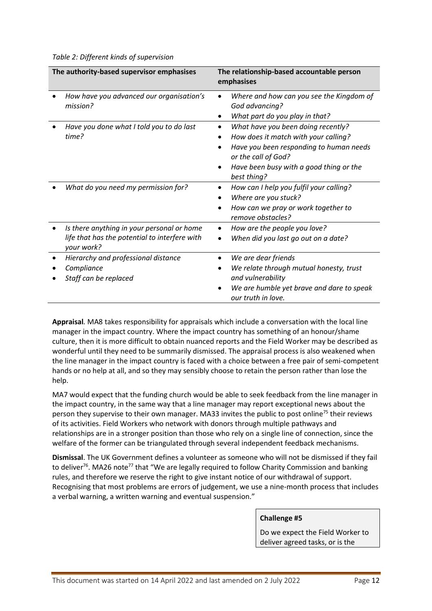*Table 2: Different kinds of supervision*

| The authority-based supervisor emphasises                                                                 | The relationship-based accountable person<br>emphasises                                                                                                                                                |
|-----------------------------------------------------------------------------------------------------------|--------------------------------------------------------------------------------------------------------------------------------------------------------------------------------------------------------|
| How have you advanced our organisation's<br>mission?                                                      | Where and how can you see the Kingdom of<br>God advancing?<br>What part do you play in that?                                                                                                           |
| Have you done what I told you to do last<br>time?                                                         | What have you been doing recently?<br>How does it match with your calling?<br>Have you been responding to human needs<br>or the call of God?<br>Have been busy with a good thing or the<br>best thing? |
| What do you need my permission for?                                                                       | How can I help you fulfil your calling?<br>Where are you stuck?<br>How can we pray or work together to<br>remove obstacles?                                                                            |
| Is there anything in your personal or home<br>life that has the potential to interfere with<br>your work? | How are the people you love?<br>When did you last go out on a date?                                                                                                                                    |
| Hierarchy and professional distance<br>Compliance<br>Staff can be replaced                                | We are dear friends<br>We relate through mutual honesty, trust<br>and vulnerability<br>We are humble yet brave and dare to speak<br>our truth in love.                                                 |

**Appraisal***.* MA8 takes responsibility for appraisals which include a conversation with the local line manager in the impact country. Where the impact country has something of an honour/shame culture, then it is more difficult to obtain nuanced reports and the Field Worker may be described as wonderful until they need to be summarily dismissed. The appraisal process is also weakened when the line manager in the impact country is faced with a choice between a free pair of semi-competent hands or no help at all, and so they may sensibly choose to retain the person rather than lose the help.

MA7 would expect that the funding church would be able to seek feedback from the line manager in the impact country, in the same way that a line manager may report exceptional news about the person they supervise to their own manager. MA33 invites the public to post online<sup>75</sup> their reviews of its activities. Field Workers who network with donors through multiple pathways and relationships are in a stronger position than those who rely on a single line of connection, since the welfare of the former can be triangulated through several independent feedback mechanisms.

**Dismissal**. The UK Government defines a volunteer as someone who will not be dismissed if they fail to deliver<sup>76</sup>. MA26 note<sup>77</sup> that "We are legally required to follow Charity Commission and banking rules, and therefore we reserve the right to give instant notice of our withdrawal of support. Recognising that most problems are errors of judgement, we use a nine-month process that includes a verbal warning, a written warning and eventual suspension."

#### **Challenge #5**

Do we expect the Field Worker to deliver agreed tasks, or is the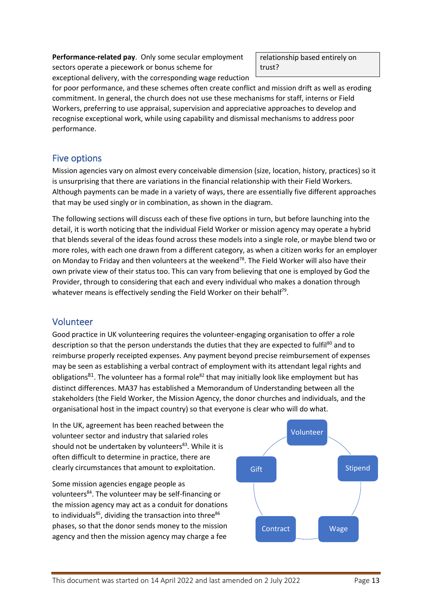**Performance-related pay**. Only some secular employment sectors operate a piecework or bonus scheme for exceptional delivery, with the corresponding wage reduction relationship based entirely on trust?

for poor performance, and these schemes often create conflict and mission drift as well as eroding commitment. In general, the church does not use these mechanisms for staff, interns or Field Workers, preferring to use appraisal, supervision and appreciative approaches to develop and recognise exceptional work, while using capability and dismissal mechanisms to address poor performance.

# <span id="page-12-0"></span>Five options

Mission agencies vary on almost every conceivable dimension (size, location, history, practices) so it is unsurprising that there are variations in the financial relationship with their Field Workers. Although payments can be made in a variety of ways, there are essentially five different approaches that may be used singly or in combination, as shown in the diagram.

The following sections will discuss each of these five options in turn, but before launching into the detail, it is worth noticing that the individual Field Worker or mission agency may operate a hybrid that blends several of the ideas found across these models into a single role, or maybe blend two or more roles, with each one drawn from a different category, as when a citizen works for an employer on Monday to Friday and then volunteers at the weekend<sup>78</sup>. The Field Worker will also have their own private view of their status too. This can vary from believing that one is employed by God the Provider, through to considering that each and every individual who makes a donation through whatever means is effectively sending the Field Worker on their behalf<sup>79</sup>.

# <span id="page-12-1"></span>Volunteer

Good practice in UK volunteering requires the volunteer-engaging organisation to offer a role description so that the person understands the duties that they are expected to fulfil<sup>80</sup> and to reimburse properly receipted expenses. Any payment beyond precise reimbursement of expenses may be seen as establishing a verbal contract of employment with its attendant legal rights and obligations<sup>81</sup>. The volunteer has a formal role<sup>82</sup> that may initially look like employment but has distinct differences. MA37 has established a Memorandum of Understanding between all the stakeholders (the Field Worker, the Mission Agency, the donor churches and individuals, and the organisational host in the impact country) so that everyone is clear who will do what.

In the UK, agreement has been reached between the volunteer sector and industry that salaried roles should not be undertaken by volunteers<sup>83</sup>. While it is often difficult to determine in practice, there are clearly circumstances that amount to exploitation.

Some mission agencies engage people as volunteers<sup>84</sup>. The volunteer may be self-financing or the mission agency may act as a conduit for donations to individuals $^{85}$ , dividing the transaction into three $^{86}$ phases, so that the donor sends money to the mission agency and then the mission agency may charge a fee

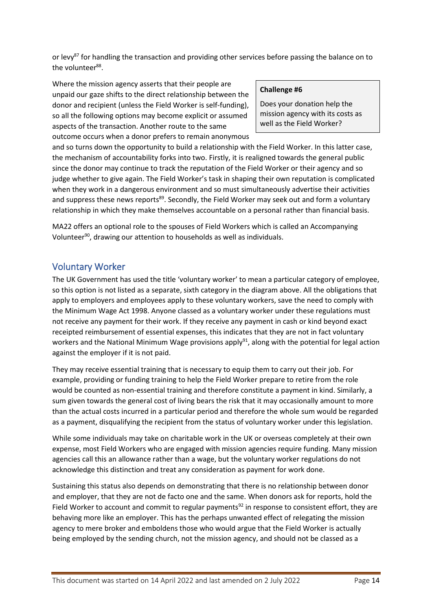or levy<sup>87</sup> for handling the transaction and providing other services before passing the balance on to the volunteer<sup>88</sup>.

Where the mission agency asserts that their people are unpaid our gaze shifts to the direct relationship between the donor and recipient (unless the Field Worker is self-funding), so all the following options may become explicit or assumed aspects of the transaction. Another route to the same outcome occurs when a donor prefers to remain anonymous

#### **Challenge #6**

Does your donation help the mission agency with its costs as well as the Field Worker?

and so turns down the opportunity to build a relationship with the Field Worker. In this latter case, the mechanism of accountability forks into two. Firstly, it is realigned towards the general public since the donor may continue to track the reputation of the Field Worker or their agency and so judge whether to give again. The Field Worker's task in shaping their own reputation is complicated when they work in a dangerous environment and so must simultaneously advertise their activities and suppress these news reports<sup>89</sup>. Secondly, the Field Worker may seek out and form a voluntary relationship in which they make themselves accountable on a personal rather than financial basis.

MA22 offers an optional role to the spouses of Field Workers which is called an Accompanying Volunteer<sup>90</sup>, drawing our attention to households as well as individuals.

### <span id="page-13-0"></span>Voluntary Worker

The UK Government has used the title 'voluntary worker' to mean a particular category of employee, so this option is not listed as a separate, sixth category in the diagram above. All the obligations that apply to employers and employees apply to these voluntary workers, save the need to comply with the Minimum Wage Act 1998. Anyone classed as a voluntary worker under these regulations must not receive any payment for their work. If they receive any payment in cash or kind beyond exact receipted reimbursement of essential expenses, this indicates that they are not in fact voluntary workers and the National Minimum Wage provisions apply<sup>91</sup>, along with the potential for legal action against the employer if it is not paid.

They may receive essential training that is necessary to equip them to carry out their job. For example, providing or funding training to help the Field Worker prepare to retire from the role would be counted as non-essential training and therefore constitute a payment in kind. Similarly, a sum given towards the general cost of living bears the risk that it may occasionally amount to more than the actual costs incurred in a particular period and therefore the whole sum would be regarded as a payment, disqualifying the recipient from the status of voluntary worker under this legislation.

While some individuals may take on charitable work in the UK or overseas completely at their own expense, most Field Workers who are engaged with mission agencies require funding. Many mission agencies call this an allowance rather than a wage, but the voluntary worker regulations do not acknowledge this distinction and treat any consideration as payment for work done.

Sustaining this status also depends on demonstrating that there is no relationship between donor and employer, that they are not de facto one and the same. When donors ask for reports, hold the Field Worker to account and commit to regular payments<sup>92</sup> in response to consistent effort, they are behaving more like an employer. This has the perhaps unwanted effect of relegating the mission agency to mere broker and emboldens those who would argue that the Field Worker is actually being employed by the sending church, not the mission agency, and should not be classed as a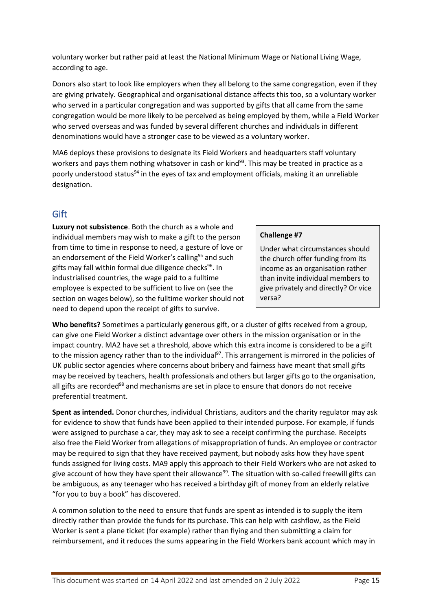voluntary worker but rather paid at least the National Minimum Wage or National Living Wage, according to age.

Donors also start to look like employers when they all belong to the same congregation, even if they are giving privately. Geographical and organisational distance affects this too, so a voluntary worker who served in a particular congregation and was supported by gifts that all came from the same congregation would be more likely to be perceived as being employed by them, while a Field Worker who served overseas and was funded by several different churches and individuals in different denominations would have a stronger case to be viewed as a voluntary worker.

MA6 deploys these provisions to designate its Field Workers and headquarters staff voluntary workers and pays them nothing whatsover in cash or kind $93$ . This may be treated in practice as a poorly understood status<sup>94</sup> in the eyes of tax and employment officials, making it an unreliable designation.

### <span id="page-14-0"></span>**Gift**

**Luxury not subsistence**. Both the church as a whole and individual members may wish to make a gift to the person from time to time in response to need, a gesture of love or an endorsement of the Field Worker's calling<sup>95</sup> and such gifts may fall within formal due diligence checks <sup>96</sup>. In industrialised countries, the wage paid to a fulltime employee is expected to be sufficient to live on (see the section on wages below), so the fulltime worker should not need to depend upon the receipt of gifts to survive.

### **Challenge #7**

Under what circumstances should the church offer funding from its income as an organisation rather than invite individual members to give privately and directly? Or vice versa?

**Who benefits?** Sometimes a particularly generous gift, or a cluster of gifts received from a group, can give one Field Worker a distinct advantage over others in the mission organisation or in the impact country. MA2 have set a threshold, above which this extra income is considered to be a gift to the mission agency rather than to the individual<sup>97</sup>. This arrangement is mirrored in the policies of UK public sector agencies where concerns about bribery and fairness have meant that small gifts may be received by teachers, health professionals and others but larger gifts go to the organisation, all gifts are recorded<sup>98</sup> and mechanisms are set in place to ensure that donors do not receive preferential treatment.

**Spent as intended.** Donor churches, individual Christians, auditors and the charity regulator may ask for evidence to show that funds have been applied to their intended purpose. For example, if funds were assigned to purchase a car, they may ask to see a receipt confirming the purchase. Receipts also free the Field Worker from allegations of misappropriation of funds. An employee or contractor may be required to sign that they have received payment, but nobody asks how they have spent funds assigned for living costs. MA9 apply this approach to their Field Workers who are not asked to give account of how they have spent their allowance<sup>99</sup>. The situation with so-called freewill gifts can be ambiguous, as any teenager who has received a birthday gift of money from an elderly relative "for you to buy a book" has discovered.

A common solution to the need to ensure that funds are spent as intended is to supply the item directly rather than provide the funds for its purchase. This can help with cashflow, as the Field Worker is sent a plane ticket (for example) rather than flying and then submitting a claim for reimbursement, and it reduces the sums appearing in the Field Workers bank account which may in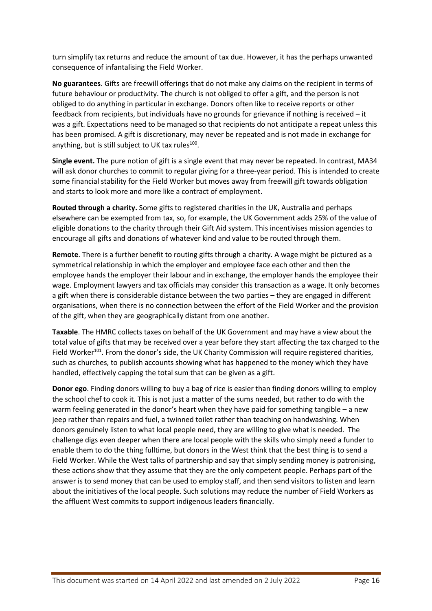turn simplify tax returns and reduce the amount of tax due. However, it has the perhaps unwanted consequence of infantalising the Field Worker.

**No guarantees**. Gifts are freewill offerings that do not make any claims on the recipient in terms of future behaviour or productivity. The church is not obliged to offer a gift, and the person is not obliged to do anything in particular in exchange. Donors often like to receive reports or other feedback from recipients, but individuals have no grounds for grievance if nothing is received – it was a gift. Expectations need to be managed so that recipients do not anticipate a repeat unless this has been promised. A gift is discretionary, may never be repeated and is not made in exchange for anything, but is still subject to UK tax rules<sup>100</sup>.

**Single event.** The pure notion of gift is a single event that may never be repeated. In contrast, MA34 will ask donor churches to commit to regular giving for a three-year period. This is intended to create some financial stability for the Field Worker but moves away from freewill gift towards obligation and starts to look more and more like a contract of employment.

**Routed through a charity.** Some gifts to registered charities in the UK, Australia and perhaps elsewhere can be exempted from tax, so, for example, the UK Government adds 25% of the value of eligible donations to the charity through their Gift Aid system. This incentivises mission agencies to encourage all gifts and donations of whatever kind and value to be routed through them.

**Remote**. There is a further benefit to routing gifts through a charity. A wage might be pictured as a symmetrical relationship in which the employer and employee face each other and then the employee hands the employer their labour and in exchange, the employer hands the employee their wage. Employment lawyers and tax officials may consider this transaction as a wage. It only becomes a gift when there is considerable distance between the two parties – they are engaged in different organisations, when there is no connection between the effort of the Field Worker and the provision of the gift, when they are geographically distant from one another.

**Taxable**. The HMRC collects taxes on behalf of the UK Government and may have a view about the total value of gifts that may be received over a year before they start affecting the tax charged to the Field Worker<sup>101</sup>. From the donor's side, the UK Charity Commission will require registered charities, such as churches, to publish accounts showing what has happened to the money which they have handled, effectively capping the total sum that can be given as a gift.

**Donor ego**. Finding donors willing to buy a bag of rice is easier than finding donors willing to employ the school chef to cook it. This is not just a matter of the sums needed, but rather to do with the warm feeling generated in the donor's heart when they have paid for something tangible – a new jeep rather than repairs and fuel, a twinned toilet rather than teaching on handwashing. When donors genuinely listen to what local people need, they are willing to give what is needed. The challenge digs even deeper when there are local people with the skills who simply need a funder to enable them to do the thing fulltime, but donors in the West think that the best thing is to send a Field Worker. While the West talks of partnership and say that simply sending money is patronising, these actions show that they assume that they are the only competent people. Perhaps part of the answer is to send money that can be used to employ staff, and then send visitors to listen and learn about the initiatives of the local people. Such solutions may reduce the number of Field Workers as the affluent West commits to support indigenous leaders financially.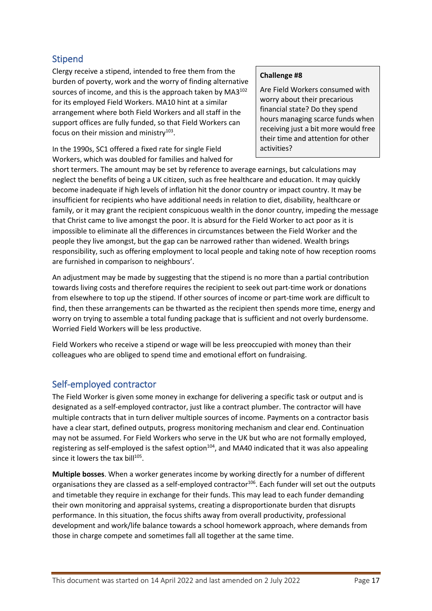# <span id="page-16-0"></span>Stipend

Clergy receive a stipend, intended to free them from the burden of poverty, work and the worry of finding alternative sources of income, and this is the approach taken by MA3<sup>102</sup> for its employed Field Workers. MA10 hint at a similar arrangement where both Field Workers and all staff in the support offices are fully funded, so that Field Workers can focus on their mission and ministry $103$ .

In the 1990s, SC1 offered a fixed rate for single Field Workers, which was doubled for families and halved for

#### **Challenge #8**

Are Field Workers consumed with worry about their precarious financial state? Do they spend hours managing scarce funds when receiving just a bit more would free their time and attention for other activities?

short termers. The amount may be set by reference to average earnings, but calculations may neglect the benefits of being a UK citizen, such as free healthcare and education. It may quickly become inadequate if high levels of inflation hit the donor country or impact country. It may be insufficient for recipients who have additional needs in relation to diet, disability, healthcare or family, or it may grant the recipient conspicuous wealth in the donor country, impeding the message that Christ came to live amongst the poor. It is absurd for the Field Worker to act poor as it is impossible to eliminate all the differences in circumstances between the Field Worker and the people they live amongst, but the gap can be narrowed rather than widened. Wealth brings responsibility, such as offering employment to local people and taking note of how reception rooms are furnished in comparison to neighbours'.

An adjustment may be made by suggesting that the stipend is no more than a partial contribution towards living costs and therefore requires the recipient to seek out part-time work or donations from elsewhere to top up the stipend. If other sources of income or part-time work are difficult to find, then these arrangements can be thwarted as the recipient then spends more time, energy and worry on trying to assemble a total funding package that is sufficient and not overly burdensome. Worried Field Workers will be less productive.

Field Workers who receive a stipend or wage will be less preoccupied with money than their colleagues who are obliged to spend time and emotional effort on fundraising.

# <span id="page-16-1"></span>Self-employed contractor

The Field Worker is given some money in exchange for delivering a specific task or output and is designated as a self-employed contractor, just like a contract plumber. The contractor will have multiple contracts that in turn deliver multiple sources of income. Payments on a contractor basis have a clear start, defined outputs, progress monitoring mechanism and clear end. Continuation may not be assumed. For Field Workers who serve in the UK but who are not formally employed, registering as self-employed is the safest option<sup>104</sup>, and MA40 indicated that it was also appealing since it lowers the tax bill<sup>105</sup>.

**Multiple bosses**. When a worker generates income by working directly for a number of different organisations they are classed as a self-employed contractor<sup>106</sup>. Each funder will set out the outputs and timetable they require in exchange for their funds. This may lead to each funder demanding their own monitoring and appraisal systems, creating a disproportionate burden that disrupts performance. In this situation, the focus shifts away from overall productivity, professional development and work/life balance towards a school homework approach, where demands from those in charge compete and sometimes fall all together at the same time.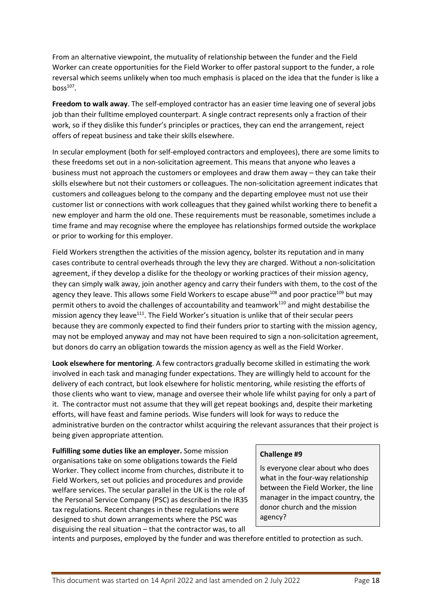From an alternative viewpoint, the mutuality of relationship between the funder and the Field Worker can create opportunities for the Field Worker to offer pastoral support to the funder, a role reversal which seems unlikely when too much emphasis is placed on the idea that the funder is like a  $boss<sup>107</sup>$ .

**Freedom to walk away**. The self-employed contractor has an easier time leaving one of several jobs job than their fulltime employed counterpart. A single contract represents only a fraction of their work, so if they dislike this funder's principles or practices, they can end the arrangement, reject offers of repeat business and take their skills elsewhere.

In secular employment (both for self-employed contractors and employees), there are some limits to these freedoms set out in a non-solicitation agreement. This means that anyone who leaves a business must not approach the customers or employees and draw them away – they can take their skills elsewhere but not their customers or colleagues. The non-solicitation agreement indicates that customers and colleagues belong to the company and the departing employee must not use their customer list or connections with work colleagues that they gained whilst working there to benefit a new employer and harm the old one. These requirements must be reasonable, sometimes include a time frame and may recognise where the employee has relationships formed outside the workplace or prior to working for this employer.

Field Workers strengthen the activities of the mission agency, bolster its reputation and in many cases contribute to central overheads through the levy they are charged. Without a non-solicitation agreement, if they develop a dislike for the theology or working practices of their mission agency, they can simply walk away, join another agency and carry their funders with them, to the cost of the agency they leave. This allows some Field Workers to escape abuse<sup>108</sup> and poor practice<sup>109</sup> but may permit others to avoid the challenges of accountability and teamwork<sup>110</sup> and might destabilise the mission agency they leave<sup>111</sup>. The Field Worker's situation is unlike that of their secular peers because they are commonly expected to find their funders prior to starting with the mission agency, may not be employed anyway and may not have been required to sign a non-solicitation agreement, but donors do carry an obligation towards the mission agency as well as the Field Worker.

**Look elsewhere for mentoring**. A few contractors gradually become skilled in estimating the work involved in each task and managing funder expectations. They are willingly held to account for the delivery of each contract, but look elsewhere for holistic mentoring, while resisting the efforts of those clients who want to view, manage and oversee their whole life whilst paying for only a part of it. The contractor must not assume that they will get repeat bookings and, despite their marketing efforts, will have feast and famine periods. Wise funders will look for ways to reduce the administrative burden on the contractor whilst acquiring the relevant assurances that their project is being given appropriate attention.

**Fulfilling some duties like an employer.** Some mission organisations take on some obligations towards the Field Worker. They collect income from churches, distribute it to Field Workers, set out policies and procedures and provide welfare services. The secular parallel in the UK is the role of the Personal Service Company (PSC) as described in the IR35 tax regulations. Recent changes in these regulations were designed to shut down arrangements where the PSC was disguising the real situation – that the contractor was, to all

#### **Challenge #9**

Is everyone clear about who does what in the four-way relationship between the Field Worker, the line manager in the impact country, the donor church and the mission agency?

intents and purposes, employed by the funder and was therefore entitled to protection as such.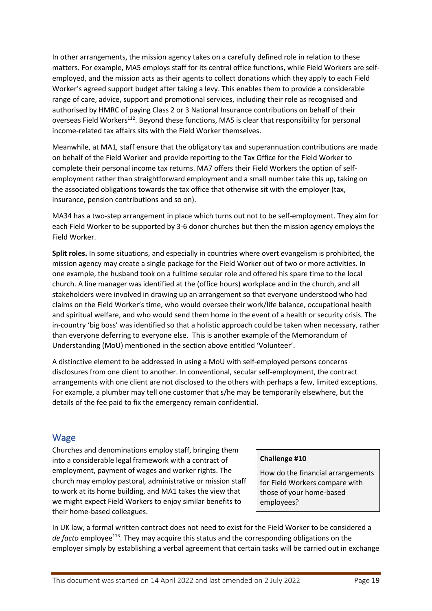In other arrangements, the mission agency takes on a carefully defined role in relation to these matters. For example, MA5 employs staff for its central office functions, while Field Workers are selfemployed, and the mission acts as their agents to collect donations which they apply to each Field Worker's agreed support budget after taking a levy. This enables them to provide a considerable range of care, advice, support and promotional services, including their role as recognised and authorised by HMRC of paying Class 2 or 3 National Insurance contributions on behalf of their overseas Field Workers<sup>112</sup>. Beyond these functions, MA5 is clear that responsibility for personal income-related tax affairs sits with the Field Worker themselves.

Meanwhile, at MA1*,* staff ensure that the obligatory tax and superannuation contributions are made on behalf of the Field Worker and provide reporting to the Tax Office for the Field Worker to complete their personal income tax returns. MA7 offers their Field Workers the option of selfemployment rather than straightforward employment and a small number take this up, taking on the associated obligations towards the tax office that otherwise sit with the employer (tax, insurance, pension contributions and so on).

MA34 has a two-step arrangement in place which turns out not to be self-employment. They aim for each Field Worker to be supported by 3-6 donor churches but then the mission agency employs the Field Worker.

**Split roles.** In some situations, and especially in countries where overt evangelism is prohibited, the mission agency may create a single package for the Field Worker out of two or more activities. In one example, the husband took on a fulltime secular role and offered his spare time to the local church. A line manager was identified at the (office hours) workplace and in the church, and all stakeholders were involved in drawing up an arrangement so that everyone understood who had claims on the Field Worker's time, who would oversee their work/life balance, occupational health and spiritual welfare, and who would send them home in the event of a health or security crisis. The in-country 'big boss' was identified so that a holistic approach could be taken when necessary, rather than everyone deferring to everyone else. This is another example of the Memorandum of Understanding (MoU) mentioned in the section above entitled 'Volunteer'.

A distinctive element to be addressed in using a MoU with self-employed persons concerns disclosures from one client to another. In conventional, secular self-employment, the contract arrangements with one client are not disclosed to the others with perhaps a few, limited exceptions. For example, a plumber may tell one customer that s/he may be temporarily elsewhere, but the details of the fee paid to fix the emergency remain confidential.

### <span id="page-18-0"></span>Wage

Churches and denominations employ staff, bringing them into a considerable legal framework with a contract of employment, payment of wages and worker rights. The church may employ pastoral, administrative or mission staff to work at its home building, and MA1 takes the view that we might expect Field Workers to enjoy similar benefits to their home-based colleagues.

#### **Challenge #10**

How do the financial arrangements for Field Workers compare with those of your home-based employees?

In UK law, a formal written contract does not need to exist for the Field Worker to be considered a de facto employee<sup>113</sup>. They may acquire this status and the corresponding obligations on the employer simply by establishing a verbal agreement that certain tasks will be carried out in exchange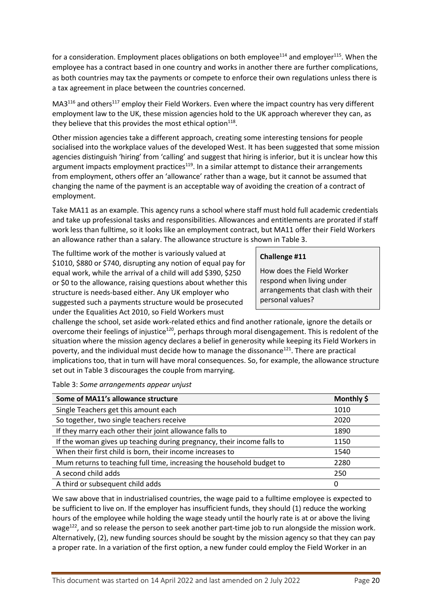for a consideration. Employment places obligations on both employee<sup>114</sup> and employer<sup>115</sup>. When the employee has a contract based in one country and works in another there are further complications, as both countries may tax the payments or compete to enforce their own regulations unless there is a tax agreement in place between the countries concerned.

 $MA3<sup>116</sup>$  and others<sup>117</sup> employ their Field Workers. Even where the impact country has very different employment law to the UK, these mission agencies hold to the UK approach wherever they can, as they believe that this provides the most ethical option $^{118}$ .

Other mission agencies take a different approach, creating some interesting tensions for people socialised into the workplace values of the developed West. It has been suggested that some mission agencies distinguish 'hiring' from 'calling' and suggest that hiring is inferior, but it is unclear how this argument impacts employment practices<sup>119</sup>. In a similar attempt to distance their arrangements from employment, others offer an 'allowance' rather than a wage, but it cannot be assumed that changing the name of the payment is an acceptable way of avoiding the creation of a contract of employment.

Take MA11 as an example. This agency runs a school where staff must hold full academic credentials and take up professional tasks and responsibilities. Allowances and entitlements are prorated if staff work less than fulltime, so it looks like an employment contract, but MA11 offer their Field Workers an allowance rather than a salary. The allowance structure is shown in Table 3.

The fulltime work of the mother is variously valued at \$1010, \$880 or \$740, disrupting any notion of equal pay for equal work, while the arrival of a child will add \$390, \$250 or \$0 to the allowance, raising questions about whether this structure is needs-based either. Any UK employer who suggested such a payments structure would be prosecuted under the Equalities Act 2010, so Field Workers must

#### **Challenge #11**

How does the Field Worker respond when living under arrangements that clash with their personal values?

challenge the school, set aside work-related ethics and find another rationale, ignore the details or overcome their feelings of injustice<sup>120</sup>, perhaps through moral disengagement. This is redolent of the situation where the mission agency declares a belief in generosity while keeping its Field Workers in poverty, and the individual must decide how to manage the dissonance<sup>121</sup>. There are practical implications too, that in turn will have moral consequences. So, for example, the allowance structure set out in Table 3 discourages the couple from marrying.

Table 3: *Some arrangements appear unjust*

| Some of MA11's allowance structure                                     | Monthly \$ |
|------------------------------------------------------------------------|------------|
| Single Teachers get this amount each                                   | 1010       |
| So together, two single teachers receive                               | 2020       |
| If they marry each other their joint allowance falls to                | 1890       |
| If the woman gives up teaching during pregnancy, their income falls to | 1150       |
| When their first child is born, their income increases to              | 1540       |
| Mum returns to teaching full time, increasing the household budget to  | 2280       |
| A second child adds                                                    | 250        |
| A third or subsequent child adds                                       | 0          |

We saw above that in industrialised countries, the wage paid to a fulltime employee is expected to be sufficient to live on. If the employer has insufficient funds, they should (1) reduce the working hours of the employee while holding the wage steady until the hourly rate is at or above the living wage<sup>122</sup>, and so release the person to seek another part-time job to run alongside the mission work. Alternatively, (2), new funding sources should be sought by the mission agency so that they can pay a proper rate. In a variation of the first option, a new funder could employ the Field Worker in an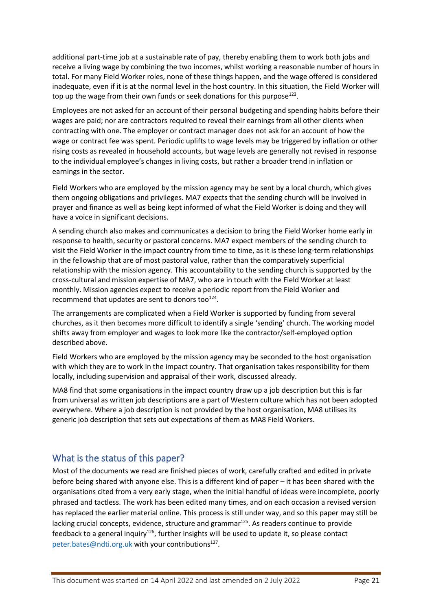additional part-time job at a sustainable rate of pay, thereby enabling them to work both jobs and receive a living wage by combining the two incomes, whilst working a reasonable number of hours in total. For many Field Worker roles, none of these things happen, and the wage offered is considered inadequate, even if it is at the normal level in the host country. In this situation, the Field Worker will top up the wage from their own funds or seek donations for this purpose<sup>123</sup>.

Employees are not asked for an account of their personal budgeting and spending habits before their wages are paid; nor are contractors required to reveal their earnings from all other clients when contracting with one. The employer or contract manager does not ask for an account of how the wage or contract fee was spent. Periodic uplifts to wage levels may be triggered by inflation or other rising costs as revealed in household accounts, but wage levels are generally not revised in response to the individual employee's changes in living costs, but rather a broader trend in inflation or earnings in the sector.

Field Workers who are employed by the mission agency may be sent by a local church, which gives them ongoing obligations and privileges. MA7 expects that the sending church will be involved in prayer and finance as well as being kept informed of what the Field Worker is doing and they will have a voice in significant decisions.

A sending church also makes and communicates a decision to bring the Field Worker home early in response to health, security or pastoral concerns. MA7 expect members of the sending church to visit the Field Worker in the impact country from time to time, as it is these long-term relationships in the fellowship that are of most pastoral value, rather than the comparatively superficial relationship with the mission agency. This accountability to the sending church is supported by the cross-cultural and mission expertise of MA7, who are in touch with the Field Worker at least monthly. Mission agencies expect to receive a periodic report from the Field Worker and recommend that updates are sent to donors too $^{124}$ .

The arrangements are complicated when a Field Worker is supported by funding from several churches, as it then becomes more difficult to identify a single 'sending' church. The working model shifts away from employer and wages to look more like the contractor/self-employed option described above.

Field Workers who are employed by the mission agency may be seconded to the host organisation with which they are to work in the impact country. That organisation takes responsibility for them locally, including supervision and appraisal of their work, discussed already.

MA8 find that some organisations in the impact country draw up a job description but this is far from universal as written job descriptions are a part of Western culture which has not been adopted everywhere. Where a job description is not provided by the host organisation, MA8 utilises its generic job description that sets out expectations of them as MA8 Field Workers.

### <span id="page-20-0"></span>What is the status of this paper?

Most of the documents we read are finished pieces of work, carefully crafted and edited in private before being shared with anyone else. This is a different kind of paper – it has been shared with the organisations cited from a very early stage, when the initial handful of ideas were incomplete, poorly phrased and tactless. The work has been edited many times, and on each occasion a revised version has replaced the earlier material online. This process is still under way, and so this paper may still be lacking crucial concepts, evidence, structure and grammar<sup>125</sup>. As readers continue to provide feedback to a general inquiry<sup>126</sup>, further insights will be used to update it, so please contact [peter.bates@ndti.org.uk](mailto:peter.bates@ndti.org.uk) with your contributions<sup>127</sup>.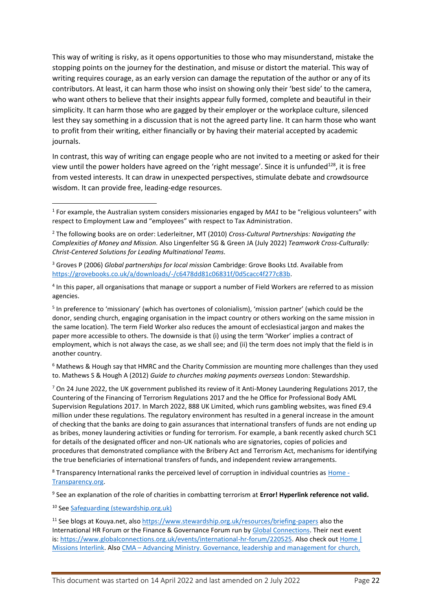This way of writing is risky, as it opens opportunities to those who may misunderstand, mistake the stopping points on the journey for the destination, and misuse or distort the material. This way of writing requires courage, as an early version can damage the reputation of the author or any of its contributors. At least, it can harm those who insist on showing only their 'best side' to the camera, who want others to believe that their insights appear fully formed, complete and beautiful in their simplicity. It can harm those who are gagged by their employer or the workplace culture, silenced lest they say something in a discussion that is not the agreed party line. It can harm those who want to profit from their writing, either financially or by having their material accepted by academic journals.

In contrast, this way of writing can engage people who are not invited to a meeting or asked for their view until the power holders have agreed on the 'right message'. Since it is unfunded<sup>128</sup>, it is free from vested interests. It can draw in unexpected perspectives, stimulate debate and crowdsource wisdom. It can provide free, leading-edge resources.

<sup>5</sup> In preference to 'missionary' (which has overtones of colonialism), 'mission partner' (which could be the donor, sending church, engaging organisation in the impact country or others working on the same mission in the same location). The term Field Worker also reduces the amount of ecclesiastical jargon and makes the paper more accessible to others. The downside is that (i) using the term 'Worker' implies a contract of employment, which is not always the case, as we shall see; and (ii) the term does not imply that the field is in another country.

 $6$  Mathews & Hough say that HMRC and the Charity Commission are mounting more challenges than they used to. Mathews S & Hough A (2012) *Guide to churches making payments overseas* London: Stewardship.

 $7$  On 24 June 2022, the UK government published its review of it Anti-Money Laundering Regulations 2017, the Countering of the Financing of Terrorism Regulations 2017 and the he Office for Professional Body AML Supervision Regulations 2017. In March 2022, 888 UK Limited, which runs gambling websites, was fined £9.4 million under these regulations. The regulatory environment has resulted in a general increase in the amount of checking that the banks are doing to gain assurances that international transfers of funds are not ending up as bribes, money laundering activities or funding for terrorism. For example, a bank recently asked church SC1 for details of the designated officer and non-UK nationals who are signatories, copies of policies and procedures that demonstrated compliance with the Bribery Act and Terrorism Act, mechanisms for identifying the true beneficiaries of international transfers of funds, and independent review arrangements.

<sup>8</sup> Transparency International ranks the perceived level of corruption in individual countries as [Home -](https://www.transparency.org/) [Transparency.org.](https://www.transparency.org/)

9 See an explanation of the role of charities in combatting terrorism at **Error! Hyperlink reference not valid.**

<sup>10</sup> Se[e Safeguarding \(stewardship.org.uk\)](https://www.stewardship.org.uk/resource/safeguarding)

<sup>11</sup> See blogs at Kouya.net, also <https://www.stewardship.org.uk/resources/briefing-papers> also the International HR Forum or the Finance & Governance Forum run by [Global Connections.](https://www.globalconnections.org.uk/) Their next event is: [https://www.globalconnections.org.uk/events/international-hr-forum/220525.](https://www.globalconnections.org.uk/events/international-hr-forum/220525) Also check out Home | [Missions Interlink.](https://missionsinterlink.org.au/?msclkid=09632abdc20711ec884b38b7cffb91f6) Also CMA – [Advancing Ministry. Governance, leadership and management for](http://www.cma.net.au/) church,

<sup>1</sup> For example, the Australian system considers missionaries engaged by *MA1* to be "religious volunteers" with respect to Employment Law and "employees" with respect to Tax Administration.

<sup>2</sup> The following books are on order: Lederleitner, MT (2010) *Cross-Cultural Partnerships: Navigating the Complexities of Money and Mission.* Also Lingenfelter SG & Green JA (July 2022) *Teamwork Cross-Culturally: Christ-Centered Solutions for Leading Multinational Teams.*

<sup>3</sup> Groves P (2006) *Global partnerships for local mission* Cambridge: Grove Books Ltd. Available from [https://grovebooks.co.uk/a/downloads/-/c6478dd81c06831f/0d5cacc4f277c83b.](https://grovebooks.co.uk/a/downloads/-/c6478dd81c06831f/0d5cacc4f277c83b)

<sup>4</sup> In this paper, all organisations that manage or support a number of Field Workers are referred to as mission agencies.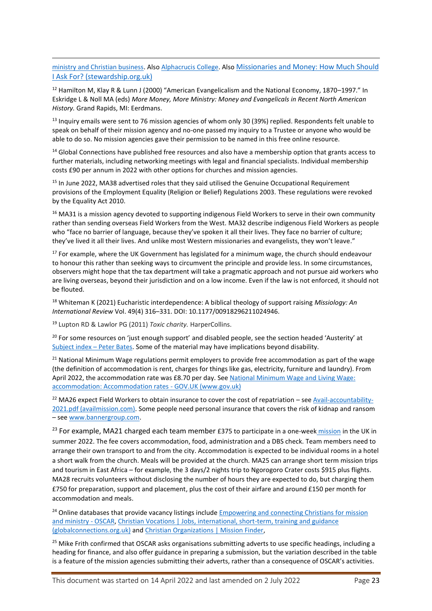[ministry and Christian business.](http://www.cma.net.au/) Als[o Alphacrucis College.](https://www.ac.edu.au/) Also [Missionaries and Money: How Much Should](https://www.stewardship.org.uk/resource/resources-christian-workers-how-much-enough)  [I Ask For? \(stewardship.org.uk\)](https://www.stewardship.org.uk/resource/resources-christian-workers-how-much-enough)

<sup>12</sup> Hamilton M, Klay R & Lunn J (2000) "American Evangelicalism and the National Economy, 1870–1997." In Eskridge L & Noll MA (eds) *More Money, More Ministry: Money and Evangelicals in Recent North American History.* Grand Rapids, MI: Eerdmans.

<sup>13</sup> Inquiry emails were sent to 76 mission agencies of whom only 30 (39%) replied. Respondents felt unable to speak on behalf of their mission agency and no-one passed my inquiry to a Trustee or anyone who would be able to do so. No mission agencies gave their permission to be named in this free online resource.

<sup>14</sup> Global Connections have published free resources and also have a membership option that grants access to further materials, including networking meetings with legal and financial specialists. Individual membership costs £90 per annum in 2022 with other options for churches and mission agencies.

<sup>15</sup> In June 2022, MA38 advertised roles that they said utilised the Genuine Occupational Requirement provisions of the Employment Equality (Religion or Belief) Regulations 2003. These regulations were revoked by the Equality Act 2010.

<sup>16</sup> MA31 is a mission agency devoted to supporting indigenous Field Workers to serve in their own community rather than sending overseas Field Workers from the West. MA32 describe indigenous Field Workers as people who "face no barrier of language, because they've spoken it all their lives. They face no barrier of culture; they've lived it all their lives. And unlike most Western missionaries and evangelists, they won't leave."

 $17$  For example, where the UK Government has legislated for a minimum wage, the church should endeavour to honour this rather than seeking ways to circumvent the principle and provide less. In some circumstances, observers might hope that the tax department will take a pragmatic approach and not pursue aid workers who are living overseas, beyond their jurisdiction and on a low income. Even if the law is not enforced, it should not be flouted.

<sup>18</sup> Whiteman K (2021) Eucharistic interdependence: A biblical theology of support raising *Missiology: An International Review* Vol. 49(4) 316–331. DOI: 10.1177/00918296211024946.

<sup>19</sup> Lupton RD & Lawlor PG (2011) *Toxic charity.* HarperCollins.

<sup>20</sup> For some resources on 'just enough support' and disabled people, see the section headed 'Austerity' at [Subject index](https://peterbates.org.uk/home/subject-index/) – Peter Bates. Some of the material may have implications beyond disability.

<sup>21</sup> National Minimum Wage regulations permit employers to provide free accommodation as part of the wage (the definition of accommodation is rent, charges for things like gas, electricity, furniture and laundry). From April 2022, the accommodation rate was £8.70 per day. See National Minimum Wage and Living Wage: [accommodation: Accommodation rates -](https://www.gov.uk/national-minimum-wage-accommodation) GOV.UK (www.gov.uk)

 $22$  MA26 expect Field Workers to obtain insurance to cover the cost of repatriation – see [Avail-accountability-](https://www.availmission.com/live2021/wp-content/uploads/2021/01/Avail-accountability-2021.pdf)[2021.pdf \(availmission.com\).](https://www.availmission.com/live2021/wp-content/uploads/2021/01/Avail-accountability-2021.pdf) Some people need personal insurance that covers the risk of kidnap and ransom – see [www.bannergroup.com.](http://www.bannergroup.com/)

<sup>23</sup> For example, MA21 charged each team member £375 to participate in a one-week *[mission](https://oscar.org.uk/christian-jobs/diaspora-community-outreach-team-midlands)* in the UK in summer 2022. The fee covers accommodation, food, administration and a DBS check. Team members need to arrange their own transport to and from the city. Accommodation is expected to be individual rooms in a hotel a short walk from the church. Meals will be provided at the church. MA25 can arrange short term mission trips and tourism in East Africa – for example, the 3 days/2 nights trip to Ngorogoro Crater costs \$915 plus flights. MA28 recruits volunteers without disclosing the number of hours they are expected to do, but charging them £750 for preparation, support and placement, plus the cost of their airfare and around £150 per month for accommodation and meals.

<sup>24</sup> Online databases that provide vacancy listings include Empowering and connecting Christians for mission [and ministry -](https://oscar.org.uk/) OSCAR, [Christian Vocations | Jobs, international, short-term, training and guidance](https://www.globalconnections.org.uk/vocations)  [\(globalconnections.org.uk\)](https://www.globalconnections.org.uk/vocations) and [Christian Organizations | Mission Finder,](https://missionfinder.org/christian-organizations/)

<sup>25</sup> Mike Frith confirmed that OSCAR asks organisations submitting adverts to use specific headings, including a heading for finance, and also offer guidance in preparing a submission, but the variation described in the table is a feature of the mission agencies submitting their adverts, rather than a consequence of OSCAR's activities.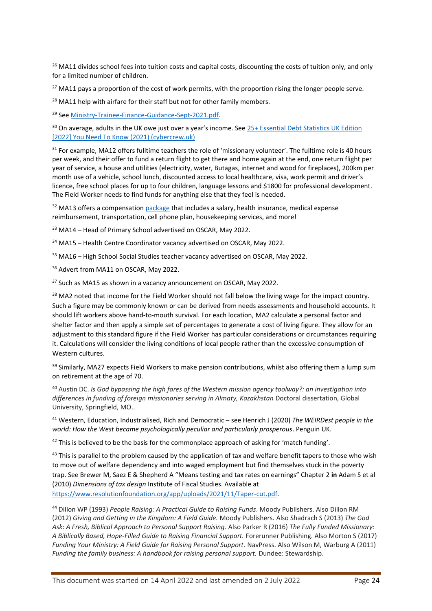<sup>26</sup> MA11 divides school fees into tuition costs and capital costs, discounting the costs of tuition only, and only for a limited number of children.

 $27$  MA11 pays a proportion of the cost of work permits, with the proportion rising the longer people serve.

<sup>28</sup> MA11 help with airfare for their staff but not for other family members.

<sup>29</sup> Se[e Ministry-Trainee-Finance-Guidance-Sept-2021.pdf.](file:///C:/Users/peter/Downloads/Ministry-Trainee-Finance-Guidance-Sept-2021.pdf)

<sup>30</sup> On average, adults in the UK owe just over a year's income. See 25+ Essential Debt Statistics UK Edition [\[2022\] You Need To Know \(2021\) \(cybercrew.uk\)](https://cybercrew.uk/blog/debt-statistics-uk/#:~:text=%20Top%2010%20Debt%20Statistics%20UK%20%201,household%20debt%20grew%20by%20nearly%20%C2%A31000...%20More%20)

<sup>31</sup> For example, MA12 offers fulltime teachers the role of 'missionary volunteer'. The fulltime role is 40 hours per week, and their offer to fund a return flight to get there and home again at the end, one return flight per year of service, a house and utilities (electricity, water, Butagas, internet and wood for fireplaces), 200km per month use of a vehicle, school lunch, discounted access to local healthcare, visa, work permit and driver's licence, free school places for up to four children, language lessons and \$1800 for professional development. The Field Worker needs to find funds for anything else that they feel is needed.

 $32$  MA13 offers a compensatio[n package](https://oscar.org.uk/services/grace-international-school-bangladesh) that includes a salary, health insurance, medical expense reimbursement, transportation, cell phone plan, housekeeping services, and more!

<sup>33</sup> MA14 – Head of Primary School advertised on OSCAR, May 2022.

<sup>34</sup> MA15 – Health Centre Coordinator vacancy advertised on OSCAR, May 2022.

<sup>35</sup> MA16 – High School Social Studies teacher vacancy advertised on OSCAR, May 2022.

<sup>36</sup> Advert from MA11 on OSCAR, May 2022.

<sup>37</sup> Such as MA15 as shown in a vacancy announcement on OSCAR, May 2022.

<sup>38</sup> MA2 noted that income for the Field Worker should not fall below the living wage for the impact country. Such a figure may be commonly known or can be derived from needs assessments and household accounts. It should lift workers above hand-to-mouth survival. For each location, MA2 calculate a personal factor and shelter factor and then apply a simple set of percentages to generate a cost of living figure. They allow for an adjustment to this standard figure if the Field Worker has particular considerations or circumstances requiring it. Calculations will consider the living conditions of local people rather than the excessive consumption of Western cultures.

<sup>39</sup> Similarly, MA27 expects Field Workers to make pension contributions, whilst also offering them a lump sum on retirement at the age of 70.

<sup>40</sup> Austin DC. *Is God bypassing the high fares of the Western mission agency toolway?: an investigation into differences in funding of foreign missionaries serving in Almaty, Kazakhstan* Doctoral dissertation, Global University, Springfield, MO..

<sup>41</sup> Western, Education, Industrialised, Rich and Democratic – see Henrich J (2020) *The WEIRDest people in the world: How the West became psychologically peculiar and particularly prosperous*. Penguin UK.

 $42$  This is believed to be the basis for the commonplace approach of asking for 'match funding'.

<sup>43</sup> This is parallel to the problem caused by the application of tax and welfare benefit tapers to those who wish to move out of welfare dependency and into waged employment but find themselves stuck in the poverty trap. See Brewer M, Saez E & Shepherd A "Means testing and tax rates on earnings" Chapter 2 **in** Adam S et al (2010) *Dimensions of tax design* Institute of Fiscal Studies. Available at [https://www.resolutionfoundation.org/app/uploads/2021/11/Taper-cut.pdf.](https://www.resolutionfoundation.org/app/uploads/2021/11/Taper-cut.pdf)

<sup>44</sup> Dillon WP (1993) *People Raising: A Practical Guide to Raising Funds*. Moody Publishers. Also Dillon RM (2012) *Giving and Getting in the Kingdom: A Field Guide.* Moody Publishers. Also Shadrach S (2013) *The God Ask: A Fresh, Biblical Approach to Personal Support Raising.* Also Parker R (2016) *The Fully Funded Missionary: A Biblically Based, Hope-Filled Guide to Raising Financial Support.* Forerunner Publishing. Also Morton S (2017) *Funding Your Ministry: A Field Guide for Raising Personal Support*. NavPress. Also Wilson M, Warburg A (2011) *Funding the family business: A handbook for raising personal support.* Dundee: Stewardship.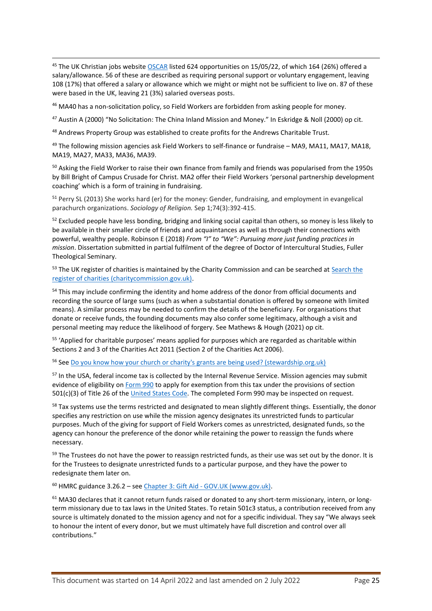<sup>45</sup> The UK Christian jobs website **OSCAR** listed 624 opportunities on 15/05/22, of which 164 (26%) offered a salary/allowance. 56 of these are described as requiring personal support or voluntary engagement, leaving 108 (17%) that offered a salary or allowance which we might or might not be sufficient to live on. 87 of these were based in the UK, leaving 21 (3%) salaried overseas posts.

<sup>46</sup> MA40 has a non-solicitation policy, so Field Workers are forbidden from asking people for money.

<sup>47</sup> Austin A (2000) "No Solicitation: The China Inland Mission and Money." In Eskridge & Noll (2000) op cit.

<sup>48</sup> Andrews Property Group was established to create profits for the Andrews Charitable Trust.

<sup>49</sup> The following mission agencies ask Field Workers to self-finance or fundraise – MA9, MA11, MA17, MA18, MA19, MA27, MA33, MA36, MA39.

<sup>50</sup> Asking the Field Worker to raise their own finance from family and friends was popularised from the 1950s by Bill Bright of Campus Crusade for Christ. MA2 offer their Field Workers 'personal partnership development coaching' which is a form of training in fundraising.

<sup>51</sup> Perry SL (2013) She works hard (er) for the money: Gender, fundraising, and employment in evangelical parachurch organizations. *Sociology of Religion.* Sep 1;74(3):392-415.

<sup>52</sup> Excluded people have less bonding, bridging and linking social capital than others, so money is less likely to be available in their smaller circle of friends and acquaintances as well as through their connections with powerful, wealthy people. Robinson E (2018) *From "I" to "We": Pursuing more just funding practices in mission*. Dissertation submitted in partial fulfilment of the degree of Doctor of Intercultural Studies, Fuller Theological Seminary.

<sup>53</sup> The UK register of charities is maintained by the Charity Commission and can be searched at Search the [register of charities \(charitycommission.gov.uk\).](https://register-of-charities.charitycommission.gov.uk/charity-search)

<sup>54</sup> This may include confirming the identity and home address of the donor from official documents and recording the source of large sums (such as when a substantial donation is offered by someone with limited means). A similar process may be needed to confirm the details of the beneficiary. For organisations that donate or receive funds, the founding documents may also confer some legitimacy, although a visit and personal meeting may reduce the likelihood of forgery. See Mathews & Hough (2021) op cit.

<sup>55</sup> 'Applied for charitable purposes' means applied for purposes which are regarded as charitable within Sections 2 and 3 of the Charities Act 2011 (Section 2 of the Charities Act 2006).

<sup>56</sup> Se[e Do you know how your church or charity's grants are being used? \(stewardship.org.uk\)](https://www.stewardship.org.uk/resource/do-you-know-how-your-church-charity-grants-are-being-used)

57 In the USA, federal income tax is collected by the Internal Revenue Service. Mission agencies may submit evidence of eligibility on [Form 990](https://www.irs.gov/forms-pubs/about-form-990) to apply for exemption from this tax under the provisions of section 501(c)(3) of Title 26 of the [United States Code.](https://www.govinfo.gov/help/uscode) The completed Form 990 may be inspected on request.

<sup>58</sup> Tax systems use the terms restricted and designated to mean slightly different things. Essentially, the donor specifies any restriction on use while the mission agency designates its unrestricted funds to particular purposes. Much of the giving for support of Field Workers comes as unrestricted, designated funds, so the agency can honour the preference of the donor while retaining the power to reassign the funds where necessary.

<sup>59</sup> The Trustees do not have the power to reassign restricted funds, as their use was set out by the donor. It is for the Trustees to designate unrestricted funds to a particular purpose, and they have the power to redesignate them later on.

<sup>60</sup> HMRC guidance 3.26.2 – see Chapter 3: Gift Aid - [GOV.UK \(www.gov.uk\).](https://www.gov.uk/government/publications/charities-detailed-guidance-notes/chapter-3-gift-aid#chapter-318-benefits-received-by-donors-and-connected-persons)

 $61$  MA30 declares that it cannot return funds raised or donated to any short-term missionary, intern, or longterm missionary due to tax laws in the United States. To retain 501c3 status, a contribution received from any source is ultimately donated to the mission agency and not for a specific individual. They say "We always seek to honour the intent of every donor, but we must ultimately have full discretion and control over all contributions."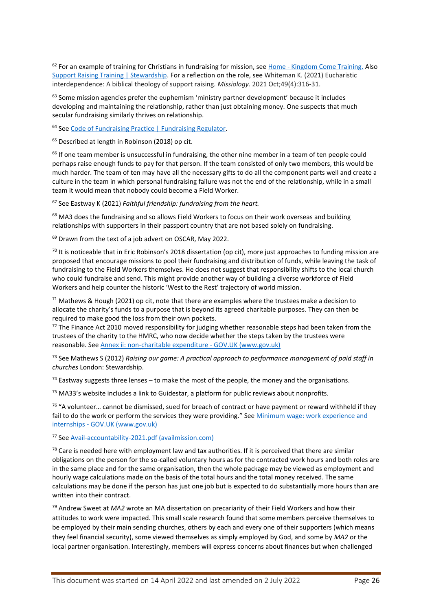<sup>62</sup> For an example of training for Christians in fundraising for mission, see Home - [Kingdom Come Training.](https://kingdomcometraining.com/) Also [Support Raising Training | Stewardship.](https://www.stewardship.org.uk/event-series/support-raising-training) For a reflection on the role, see Whiteman K. (2021) Eucharistic interdependence: A biblical theology of support raising. *Missiology*. 2021 Oct;49(4):316-31.

 $63$  Some mission agencies prefer the euphemism 'ministry partner development' because it includes developing and maintaining the relationship, rather than just obtaining money. One suspects that much secular fundraising similarly thrives on relationship.

<sup>64</sup> Se[e Code of Fundraising Practice | Fundraising Regulator.](https://www.fundraisingregulator.org.uk/code)

<sup>65</sup> Described at length in Robinson (2018) op cit.

<sup>66</sup> If one team member is unsuccessful in fundraising, the other nine member in a team of ten people could perhaps raise enough funds to pay for that person. If the team consisted of only two members, this would be much harder. The team of ten may have all the necessary gifts to do all the component parts well and create a culture in the team in which personal fundraising failure was not the end of the relationship, while in a small team it would mean that nobody could become a Field Worker.

<sup>67</sup> See Eastway K (2021) *Faithful friendship: fundraising from the heart.* 

 $<sup>68</sup>$  MA3 does the fundraising and so allows Field Workers to focus on their work overseas and building</sup> relationships with supporters in their passport country that are not based solely on fundraising.

<sup>69</sup> Drawn from the text of a job advert on OSCAR, May 2022.

<sup>70</sup> It is noticeable that in Eric Robinson's 2018 dissertation (op cit), more just approaches to funding mission are proposed that encourage missions to pool their fundraising and distribution of funds, while leaving the task of fundraising to the Field Workers themselves. He does not suggest that responsibility shifts to the local church who could fundraise and send. This might provide another way of building a diverse workforce of Field Workers and help counter the historic 'West to the Rest' trajectory of world mission.

<sup>71</sup> Mathews & Hough (2021) op cit, note that there are examples where the trustees make a decision to allocate the charity's funds to a purpose that is beyond its agreed charitable purposes. They can then be required to make good the loss from their own pockets.

 $72$  The Finance Act 2010 moved responsibility for judging whether reasonable steps had been taken from the trustees of the charity to the HMRC, who now decide whether the steps taken by the trustees were reasonable. Se[e Annex ii: non-charitable expenditure -](https://www.gov.uk/government/publications/charities-detailed-guidance-notes/annex-ii-non-charitable-expenditure) GOV.UK (www.gov.uk)

<sup>73</sup> See Mathews S (2012) *Raising our game: A practical approach to performance management of paid staff in churches* London: Stewardship.

 $74$  Eastway suggests three lenses – to make the most of the people, the money and the organisations.

 $75$  MA33's website includes a link to Guidestar, a platform for public reviews about nonprofits.

 $76$  "A volunteer... cannot be dismissed, sued for breach of contract or have payment or reward withheld if they fail to do the work or perform the services they were providing." See [Minimum wage: work experience and](https://www.gov.uk/guidance/national-minimum-wage-work-experience-and-internships)  internships - [GOV.UK \(www.gov.uk\)](https://www.gov.uk/guidance/national-minimum-wage-work-experience-and-internships)

<sup>77</sup> Se[e Avail-accountability-2021.pdf \(availmission.com\)](https://www.availmission.com/live2021/wp-content/uploads/2021/01/Avail-accountability-2021.pdf)

<sup>78</sup> Care is needed here with employment law and tax authorities. If it is perceived that there are similar obligations on the person for the so-called voluntary hours as for the contracted work hours and both roles are in the same place and for the same organisation, then the whole package may be viewed as employment and hourly wage calculations made on the basis of the total hours and the total money received. The same calculations may be done if the person has just one job but is expected to do substantially more hours than are written into their contract.

<sup>79</sup> Andrew Sweet at *MA2* wrote an MA dissertation on precariarity of their Field Workers and how their attitudes to work were impacted. This small scale research found that some members perceive themselves to be employed by their main sending churches, others by each and every one of their supporters (which means they feel financial security), some viewed themselves as simply employed by God, and some by *MA2* or the local partner organisation. Interestingly, members will express concerns about finances but when challenged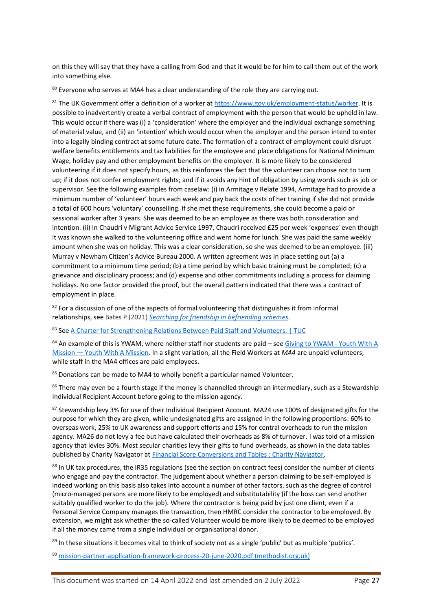on this they will say that they have a calling from God and that it would be for him to call them out of the work into something else.

<sup>80</sup> Everyone who serves at MA4 has a clear understanding of the role they are carrying out.

81 The UK Government offer a definition of a worker a[t https://www.gov.uk/employment-status/worker.](https://www.gov.uk/employment-status/worker) It is possible to inadvertently create a verbal contract of employment with the person that would be upheld in law. This would occur if there was (i) a 'consideration' where the employer and the individual exchange something of material value, and (ii) an 'intention' which would occur when the employer and the person intend to enter into a legally binding contract at some future date. The formation of a contract of employment could disrupt welfare benefits entitlements and tax liabilities for the employee and place obligations for National Minimum Wage, holiday pay and other employment benefits on the employer. It is more likely to be considered volunteering if it does not specify hours, as this reinforces the fact that the volunteer can choose not to turn up; if it does not confer employment rights; and if it avoids any hint of obligation by using words such as job or supervisor. See the following examples from caselaw: (i) in Armitage v Relate 1994, Armitage had to provide a minimum number of 'volunteer' hours each week and pay back the costs of her training if she did not provide a total of 600 hours 'voluntary' counselling. If she met these requirements, she could become a paid or sessional worker after 3 years. She was deemed to be an employee as there was both consideration and intention. (ii) In Chaudri v Migrant Advice Service 1997, Chaudri received £25 per week 'expenses' even though it was known she walked to the volunteering office and went home for lunch. She was paid the same weekly amount when she was on holiday. This was a clear consideration, so she was deemed to be an employee. (iii) Murray v Newham Citizen's Advice Bureau 2000. A written agreement was in place setting out (a) a commitment to a minimum time period; (b) a time period by which basic training must be completed; (c) a grievance and disciplinary process; and (d) expense and other commitments including a process for claiming holidays. No one factor provided the proof, but the overall pattern indicated that there was a contract of employment in place.

82 For a discussion of one of the aspects of formal volunteering that distinguishes it from informal relationships, see Bates P (2021) *[Searching for friendship in befriending schemes](https://peterbates.org.uk/wp-content/uploads/2021/05/Searching-for-friendship-in-Befriending-Schemes.pdf)*.

83 Se[e A Charter for Strengthening Relations Between Paid Staff and Volunteers. | TUC](https://www.tuc.org.uk/research-analysis/reports/charter-strengthening-relations-between-paid-staff-and-volunteers)

84 An example of this is YWAM, where neither staff nor students are paid - see [Giving to YWAM -](https://ywam.org/get-involved-now/donation-info/?lang=en) Youth With A Mission — [Youth With A Mission.](https://ywam.org/get-involved-now/donation-info/?lang=en) In a slight variation, all the Field Workers at *MA4* are unpaid volunteers, while staff in the MA4 offices are paid employees.

85 Donations can be made to MA4 to wholly benefit a particular named Volunteer.

86 There may even be a fourth stage if the money is channelled through an intermediary, such as a Stewardship Individual Recipient Account before going to the mission agency.

87 Stewardship levy 3% for use of their Individual Recipient Account. MA24 use 100% of designated gifts for the purpose for which they are given, while undesignated gifts are assigned in the following proportions: 60% to overseas work, 25% to UK awareness and support efforts and 15% for central overheads to run the mission agency. MA26 do not levy a fee but have calculated their overheads as 8% of turnover. I was told of a mission agency that levies 30%. Most secular charities levy their gifts to fund overheads, as shown in the data tables published by Charity Navigator a[t Financial Score Conversions and Tables : Charity Navigator.](https://www.charitynavigator.org/index.cfm?bay=content.view&cpid=48)

88 In UK tax procedures, the IR35 regulations (see the section on contract fees) consider the number of clients who engage and pay the contractor. The judgement about whether a person claiming to be self-employed is indeed working on this basis also takes into account a number of other factors, such as the degree of control (micro-managed persons are more likely to be employed) and substitutability (if the boss can send another suitably qualified worker to do the job). Where the contractor is being paid by just one client, even if a Personal Service Company manages the transaction, then HMRC consider the contractor to be employed. By extension, we might ask whether the so-called Volunteer would be more likely to be deemed to be employed if all the money came from a single individual or organisational donor.

<sup>89</sup> In these situations it becomes vital to think of society not as a single 'public' but as multiple 'publics'.

<sup>90</sup> [mission-partner-application-framework-process-20-june-2020.pdf \(methodist.org.uk\)](https://www.methodist.org.uk/media/17836/mission-partner-application-framework-process-20-june-2020.pdf)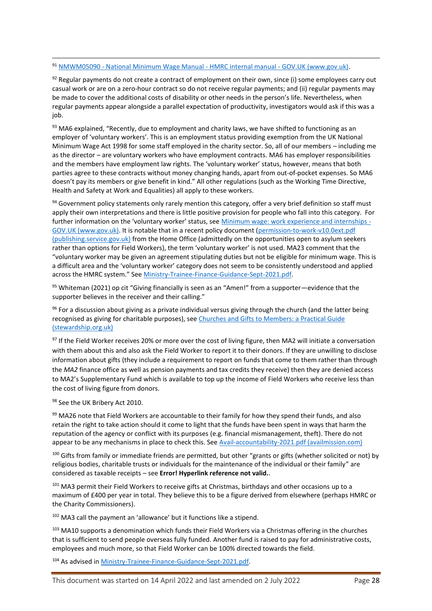91 NMWM05090 - [National Minimum Wage Manual -](https://www.gov.uk/hmrc-internal-manuals/national-minimum-wage-manual/nmwm05090) HMRC internal manual - GOV.UK (www.gov.uk).

 $92$  Regular payments do not create a contract of employment on their own, since (i) some employees carry out casual work or are on a zero-hour contract so do not receive regular payments; and (ii) regular payments may be made to cover the additional costs of disability or other needs in the person's life. Nevertheless, when regular payments appear alongside a parallel expectation of productivity, investigators would ask if this was a job.

 $93$  MA6 explained, "Recently, due to employment and charity laws, we have shifted to functioning as an employer of 'voluntary workers'. This is an employment status providing exemption from the UK National Minimum Wage Act 1998 for some staff employed in the charity sector. So, all of our members – including me as the director – are voluntary workers who have employment contracts. MA6 has employer responsibilities and the members have employment law rights. The 'voluntary worker' status, however, means that both parties agree to these contracts without money changing hands, apart from out-of-pocket expenses. So MA6 doesn't pay its members or give benefit in kind." All other regulations (such as the Working Time Directive, Health and Safety at Work and Equalities) all apply to these workers.

94 Government policy statements only rarely mention this category, offer a very brief definition so staff must apply their own interpretations and there is little positive provision for people who fall into this category. For further information on the 'voluntary worker' status, see [Minimum wage: work experience and internships -](https://www.gov.uk/guidance/national-minimum-wage-work-experience-and-internships) [GOV.UK \(www.gov.uk\).](https://www.gov.uk/guidance/national-minimum-wage-work-experience-and-internships) It is notable that in a recent policy document [\(permission-to-work-v10.0ext.pdf](https://assets.publishing.service.gov.uk/government/uploads/system/uploads/attachment_data/file/983283/permission-to-work-v10.0ext.pdf)  [\(publishing.service.gov.uk\)](https://assets.publishing.service.gov.uk/government/uploads/system/uploads/attachment_data/file/983283/permission-to-work-v10.0ext.pdf) from the Home Office (admittedly on the opportunities open to asylum seekers rather than options for Field Workers), the term 'voluntary worker' is not used. MA23 comment that the "voluntary worker may be given an agreement stipulating duties but not be eligible for minimum wage. This is a difficult area and the 'voluntary worker' category does not seem to be consistently understood and applied across the HMRC system." See [Ministry-Trainee-Finance-Guidance-Sept-2021.pdf.](file:///C:/Users/peter/Downloads/Ministry-Trainee-Finance-Guidance-Sept-2021.pdf)

<sup>95</sup> Whiteman (2021) op cit "Giving financially is seen as an "Amen!" from a supporter—evidence that the supporter believes in the receiver and their calling."

 $96$  For a discussion about giving as a private individual versus giving through the church (and the latter being recognised as giving for charitable purposes), see [Churches and Gifts to Members: a Practical Guide](https://www.stewardship.org.uk/resource/gifts-members)  [\(stewardship.org.uk\)](https://www.stewardship.org.uk/resource/gifts-members)

97 If the Field Worker receives 20% or more over the cost of living figure, then MA2 will initiate a conversation with them about this and also ask the Field Worker to report it to their donors. If they are unwilling to disclose information about gifts (they include a requirement to report on funds that come to them rather than through the *MA2* finance office as well as pension payments and tax credits they receive) then they are denied access to MA2's Supplementary Fund which is available to top up the income of Field Workers who receive less than the cost of living figure from donors.

98 See the UK Bribery Act 2010.

99 MA26 note that Field Workers are accountable to their family for how they spend their funds, and also retain the right to take action should it come to light that the funds have been spent in ways that harm the reputation of the agency or conflict with its purposes (e.g. financial mismanagement, theft). There do not appear to be any mechanisms in place to check this. See [Avail-accountability-2021.pdf \(availmission.com\)](https://www.availmission.com/live2021/wp-content/uploads/2021/01/Avail-accountability-2021.pdf)

100 Gifts from family or immediate friends are permitted, but other "grants or gifts (whether solicited or not) by religious bodies, charitable trusts or individuals for the maintenance of the individual or their family" are considered as taxable receipts – see **Error! Hyperlink reference not valid.**.

<sup>101</sup> MA3 permit their Field Workers to receive gifts at Christmas, birthdays and other occasions up to a maximum of £400 per year in total. They believe this to be a figure derived from elsewhere (perhaps HMRC or the Charity Commissioners).

 $102$  MA3 call the payment an 'allowance' but it functions like a stipend.

103 MA10 supports a denomination which funds their Field Workers via a Christmas offering in the churches that is sufficient to send people overseas fully funded. Another fund is raised to pay for administrative costs, employees and much more, so that Field Worker can be 100% directed towards the field.

<sup>104</sup> As advised in [Ministry-Trainee-Finance-Guidance-Sept-2021.pdf.](file:///C:/Users/peter/Downloads/Ministry-Trainee-Finance-Guidance-Sept-2021.pdf)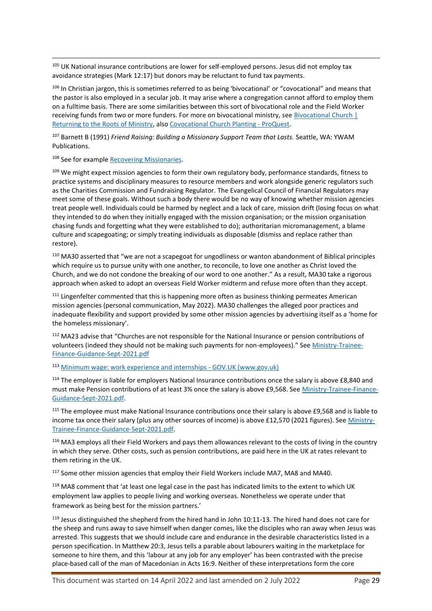<sup>105</sup> UK National insurance contributions are lower for self-employed persons. Jesus did not employ tax avoidance strategies (Mark 12:17) but donors may be reluctant to fund tax payments.

<sup>106</sup> In Christian jargon, this is sometimes referred to as being 'bivocational' or "covocational" and means that the pastor is also employed in a secular job. It may arise where a congregation cannot afford to employ them on a fulltime basis. There are some similarities between this sort of bivocational role and the Field Worker receiving funds from two or more funders. For more on bivocational ministry, see Bivocational Church | [Returning to the Roots of Ministry,](http://www.bivocational.church/) also [Covocational Church Planting -](https://www.proquest.com/openview/5a28f150b9853a25c8609c83a2ff06ad/1?pq-origsite=gscholar&cbl=18750&diss=y) ProQuest.

<sup>107</sup> Barnett B (1991) *Friend Raising: Building a Missionary Support Team that Lasts.* Seattle, WA: YWAM Publications.

<sup>108</sup> See for example [Recovering Missionaries.](https://www.recoveringmissionaries.org/)

109 We might expect mission agencies to form their own regulatory body, performance standards, fitness to practice systems and disciplinary measures to resource members and work alongside generic regulators such as the Charities Commission and Fundraising Regulator. The Evangelical Council of Financial Regulators may meet some of these goals. Without such a body there would be no way of knowing whether mission agencies treat people well. Individuals could be harmed by neglect and a lack of care, mission drift (losing focus on what they intended to do when they initially engaged with the mission organisation; or the mission organisation chasing funds and forgetting what they were established to do); authoritarian micromanagement, a blame culture and scapegoating; or simply treating individuals as disposable (dismiss and replace rather than restore).

<sup>110</sup> MA30 asserted that "we are not a scapegoat for ungodliness or wanton abandonment of Biblical principles which require us to pursue unity with one another, to reconcile, to love one another as Christ loved the Church, and we do not condone the breaking of our word to one another." As a result, MA30 take a rigorous approach when asked to adopt an overseas Field Worker midterm and refuse more often than they accept.

<sup>111</sup> Lingenfelter commented that this is happening more often as business thinking permeates American mission agencies (personal communication, May 2022). MA30 challenges the alleged poor practices and inadequate flexibility and support provided by some other mission agencies by advertising itself as a 'home for the homeless missionary'.

<sup>112</sup> MA23 advise that "Churches are not responsible for the National Insurance or pension contributions of volunteers (indeed they should not be making such payments for non-employees)." See [Ministry-Trainee-](file:///C:/Users/peter/Downloads/Ministry-Trainee-Finance-Guidance-Sept-2021.pdf)[Finance-Guidance-Sept-2021.pdf](file:///C:/Users/peter/Downloads/Ministry-Trainee-Finance-Guidance-Sept-2021.pdf)

<sup>113</sup> [Minimum wage: work experience and internships -](https://www.gov.uk/guidance/national-minimum-wage-work-experience-and-internships) GOV.UK (www.gov.uk)

 $114$  The employer is liable for employers National Insurance contributions once the salary is above £8,840 and must make Pension contributions of at least 3% once the salary is above £9,568. See [Ministry-Trainee-Finance-](file:///C:/Users/peter/Downloads/Ministry-Trainee-Finance-Guidance-Sept-2021.pdf)[Guidance-Sept-2021.pdf.](file:///C:/Users/peter/Downloads/Ministry-Trainee-Finance-Guidance-Sept-2021.pdf)

<sup>115</sup> The employee must make National Insurance contributions once their salary is above £9,568 and is liable to income tax once their salary (plus any other sources of income) is above £12,570 (2021 figures). See [Ministry-](file:///C:/Users/peter/Downloads/Ministry-Trainee-Finance-Guidance-Sept-2021.pdf)[Trainee-Finance-Guidance-Sept-2021.pdf.](file:///C:/Users/peter/Downloads/Ministry-Trainee-Finance-Guidance-Sept-2021.pdf)

<sup>116</sup> MA3 employs all their Field Workers and pays them allowances relevant to the costs of living in the country in which they serve. Other costs, such as pension contributions, are paid here in the UK at rates relevant to them retiring in the UK.

<sup>117</sup> Some other mission agencies that employ their Field Workers include MA7, MA8 and MA40.

<sup>118</sup> MA8 comment that 'at least one legal case in the past has indicated limits to the extent to which UK employment law applies to people living and working overseas. Nonetheless we operate under that framework as being best for the mission partners.'

 $119$  Jesus distinguished the shepherd from the hired hand in John 10:11-13. The hired hand does not care for the sheep and runs away to save himself when danger comes, like the disciples who ran away when Jesus was arrested. This suggests that we should include care and endurance in the desirable characteristics listed in a person specification. In Matthew 20:3, Jesus tells a parable about labourers waiting in the marketplace for someone to hire them, and this 'labour at any job for any employer' has been contrasted with the precise place-based call of the man of Macedonian in Acts 16:9. Neither of these interpretations form the core